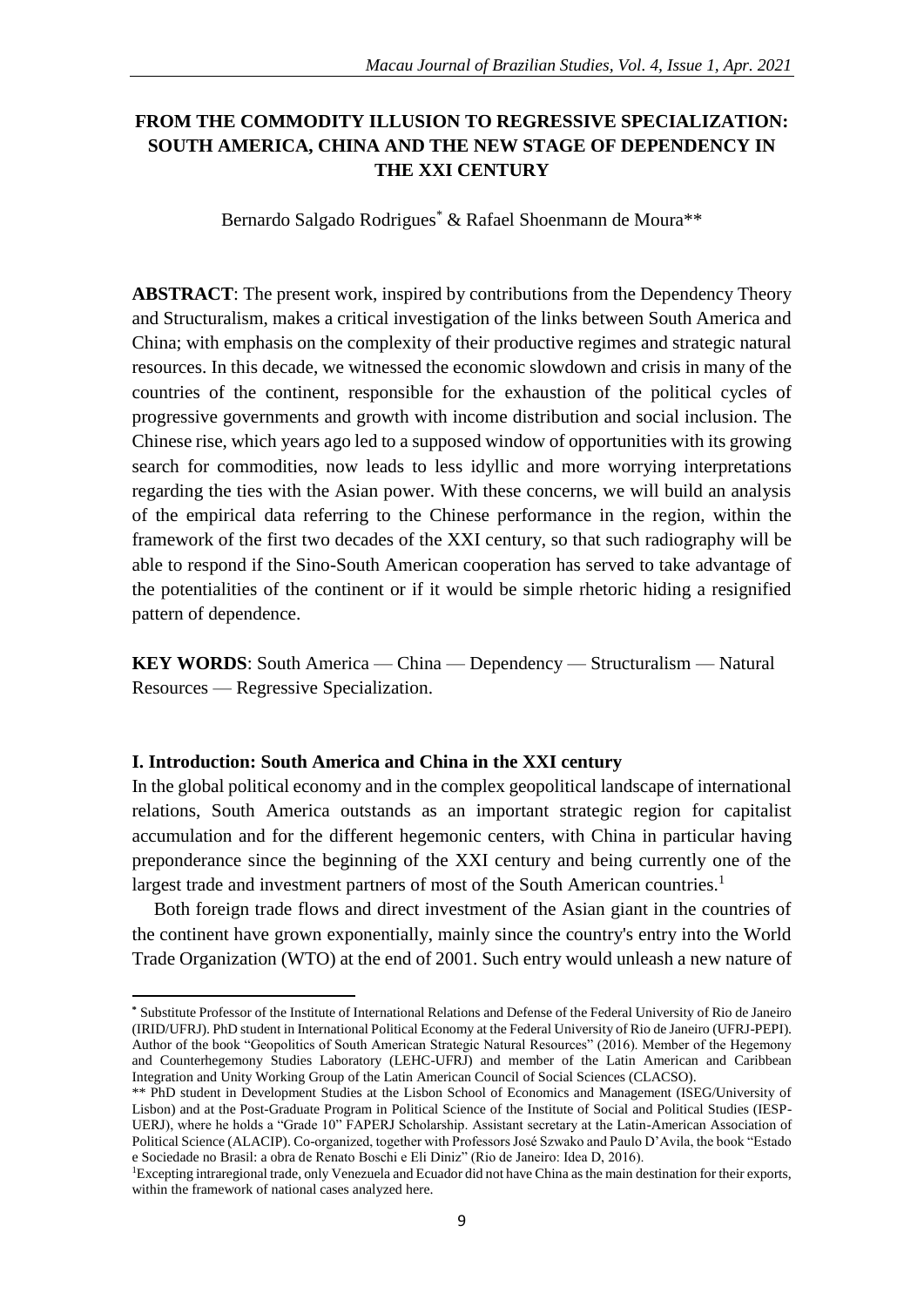# **FROM THE COMMODITY ILLUSION TO REGRESSIVE SPECIALIZATION: SOUTH AMERICA, CHINA AND THE NEW STAGE OF DEPENDENCY IN THE XXI CENTURY**

Bernardo Salgado Rodrigues<sup>\*</sup> & Rafael Shoenmann de Moura<sup>\*\*</sup>

**ABSTRACT**: The present work, inspired by contributions from the Dependency Theory and Structuralism, makes a critical investigation of the links between South America and China; with emphasis on the complexity of their productive regimes and strategic natural resources. In this decade, we witnessed the economic slowdown and crisis in many of the countries of the continent, responsible for the exhaustion of the political cycles of progressive governments and growth with income distribution and social inclusion. The Chinese rise, which years ago led to a supposed window of opportunities with its growing search for commodities, now leads to less idyllic and more worrying interpretations regarding the ties with the Asian power. With these concerns, we will build an analysis of the empirical data referring to the Chinese performance in the region, within the framework of the first two decades of the XXI century, so that such radiography will be able to respond if the Sino-South American cooperation has served to take advantage of the potentialities of the continent or if it would be simple rhetoric hiding a resignified pattern of dependence.

**KEY WORDS**: South America — China — Dependency — Structuralism — Natural Resources — Regressive Specialization.

#### **I. Introduction: South America and China in the XXI century**

In the global political economy and in the complex geopolitical landscape of international relations, South America outstands as an important strategic region for capitalist accumulation and for the different hegemonic centers, with China in particular having preponderance since the beginning of the XXI century and being currently one of the largest trade and investment partners of most of the South American countries.<sup>1</sup>

Both foreign trade flows and direct investment of the Asian giant in the countries of the continent have grown exponentially, mainly since the country's entry into the World Trade Organization (WTO) at the end of 2001. Such entry would unleash a new nature of

 $\overline{a}$ **\*** Substitute Professor of the Institute of International Relations and Defense of the Federal University of Rio de Janeiro (IRID/UFRJ). PhD student in International Political Economy at the Federal University of Rio de Janeiro (UFRJ-PEPI). Author of the book "Geopolitics of South American Strategic Natural Resources" (2016). Member of the Hegemony and Counterhegemony Studies Laboratory (LEHC-UFRJ) and member of the Latin American and Caribbean Integration and Unity Working Group of the Latin American Council of Social Sciences (CLACSO).

<sup>\*\*</sup> PhD student in Development Studies at the Lisbon School of Economics and Management (ISEG/University of Lisbon) and at the Post-Graduate Program in Political Science of the Institute of Social and Political Studies (IESP-UERJ), where he holds a "Grade 10" FAPERJ Scholarship. Assistant secretary at the Latin-American Association of Political Science (ALACIP). Co-organized, together with Professors José Szwako and Paulo D'Avila, the book "Estado e Sociedade no Brasil: a obra de Renato Boschi e Eli Diniz" (Rio de Janeiro: Idea D, 2016).

<sup>1</sup>Excepting intraregional trade, only Venezuela and Ecuador did not have China as the main destination for their exports, within the framework of national cases analyzed here.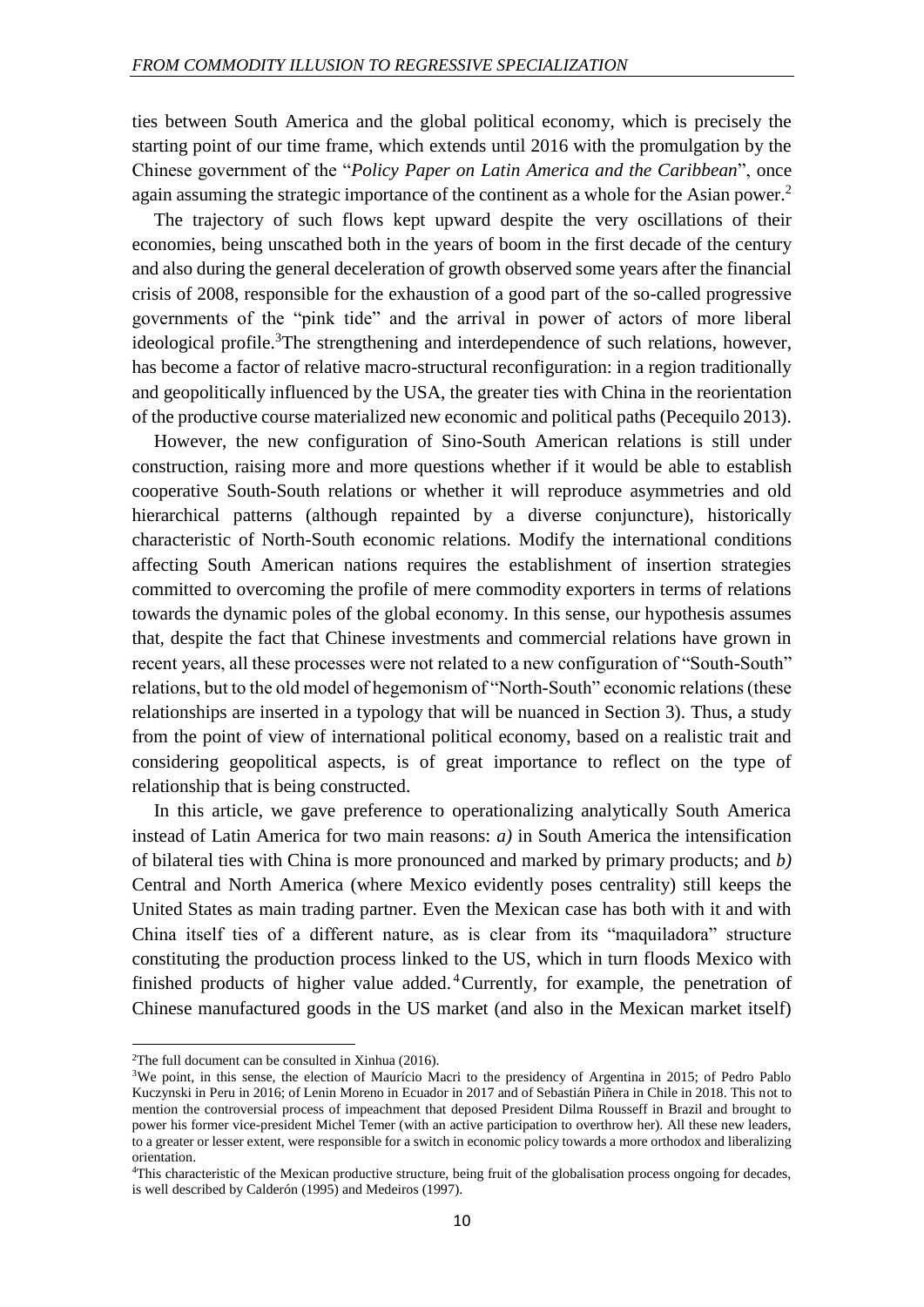ties between South America and the global political economy, which is precisely the starting point of our time frame, which extends until 2016 with the promulgation by the Chinese government of the "*Policy Paper on Latin America and the Caribbean*", once again assuming the strategic importance of the continent as a whole for the Asian power.<sup>2</sup>

The trajectory of such flows kept upward despite the very oscillations of their economies, being unscathed both in the years of boom in the first decade of the century and also during the general deceleration of growth observed some years after the financial crisis of 2008, responsible for the exhaustion of a good part of the so-called progressive governments of the "pink tide" and the arrival in power of actors of more liberal ideological profile.<sup>3</sup>The strengthening and interdependence of such relations, however, has become a factor of relative macro-structural reconfiguration: in a region traditionally and geopolitically influenced by the USA, the greater ties with China in the reorientation of the productive course materialized new economic and political paths (Pecequilo 2013).

However, the new configuration of Sino-South American relations is still under construction, raising more and more questions whether if it would be able to establish cooperative South-South relations or whether it will reproduce asymmetries and old hierarchical patterns (although repainted by a diverse conjuncture), historically characteristic of North-South economic relations. Modify the international conditions affecting South American nations requires the establishment of insertion strategies committed to overcoming the profile of mere commodity exporters in terms of relations towards the dynamic poles of the global economy. In this sense, our hypothesis assumes that, despite the fact that Chinese investments and commercial relations have grown in recent years, all these processes were not related to a new configuration of "South-South" relations, but to the old model of hegemonism of "North-South" economic relations (these relationships are inserted in a typology that will be nuanced in Section 3). Thus, a study from the point of view of international political economy, based on a realistic trait and considering geopolitical aspects, is of great importance to reflect on the type of relationship that is being constructed.

In this article, we gave preference to operationalizing analytically South America instead of Latin America for two main reasons: *a)* in South America the intensification of bilateral ties with China is more pronounced and marked by primary products; and *b)* Central and North America (where Mexico evidently poses centrality) still keeps the United States as main trading partner. Even the Mexican case has both with it and with China itself ties of a different nature, as is clear from its "maquiladora" structure constituting the production process linked to the US, which in turn floods Mexico with finished products of higher value added.<sup>4</sup> Currently, for example, the penetration of Chinese manufactured goods in the US market (and also in the Mexican market itself)

1

<sup>2</sup>The full document can be consulted in Xinhua (2016).

<sup>3</sup>We point, in this sense, the election of Maurício Macri to the presidency of Argentina in 2015; of Pedro Pablo Kuczynski in Peru in 2016; of Lenin Moreno in Ecuador in 2017 and of Sebastián Piñera in Chile in 2018. This not to mention the controversial process of impeachment that deposed President Dilma Rousseff in Brazil and brought to power his former vice-president Michel Temer (with an active participation to overthrow her). All these new leaders, to a greater or lesser extent, were responsible for a switch in economic policy towards a more orthodox and liberalizing orientation.

<sup>4</sup>This characteristic of the Mexican productive structure, being fruit of the globalisation process ongoing for decades, is well described by Calderón (1995) and Medeiros (1997).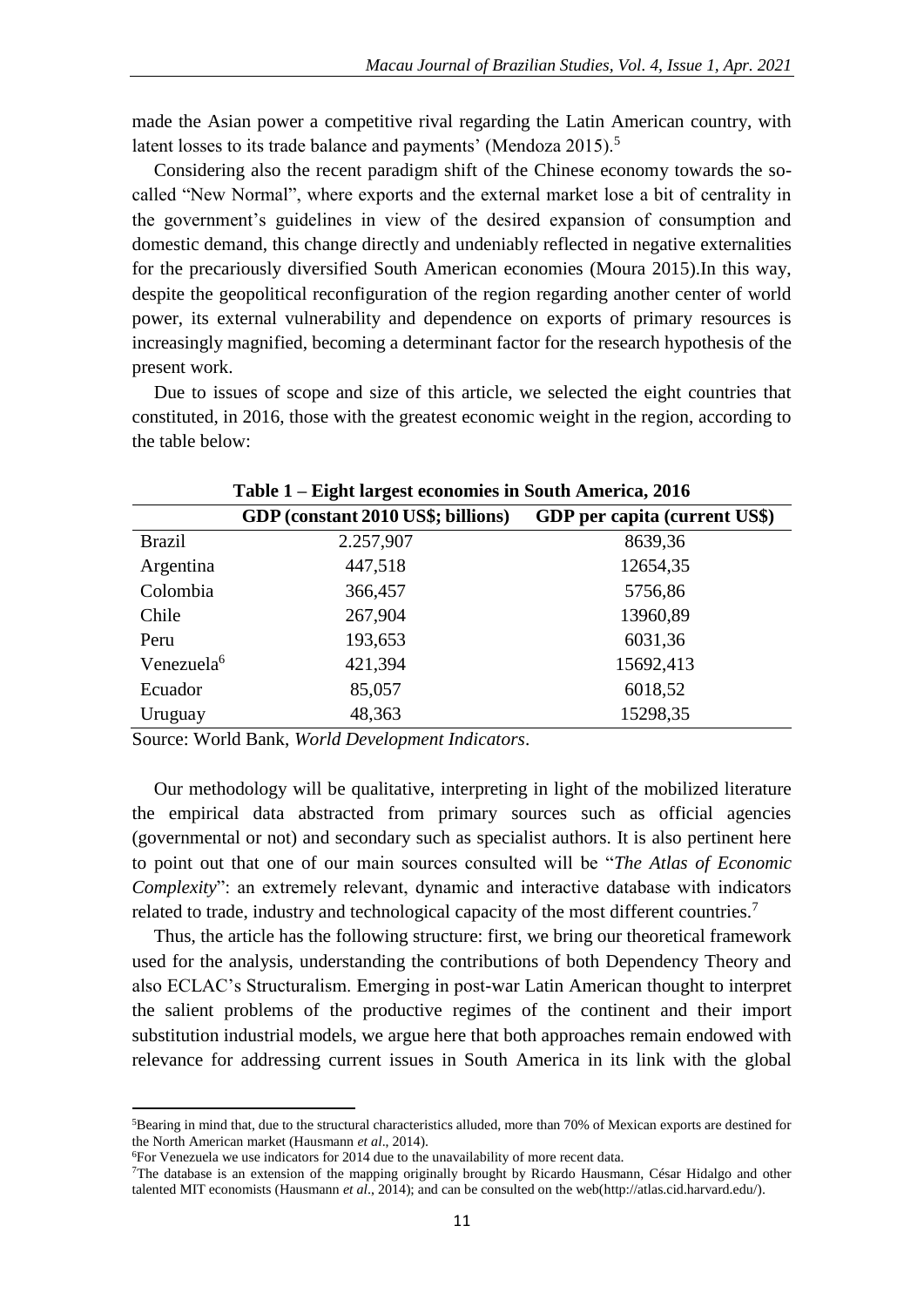made the Asian power a competitive rival regarding the Latin American country, with latent losses to its trade balance and payments' (Mendoza 2015).<sup>5</sup>

Considering also the recent paradigm shift of the Chinese economy towards the socalled "New Normal", where exports and the external market lose a bit of centrality in the government's guidelines in view of the desired expansion of consumption and domestic demand, this change directly and undeniably reflected in negative externalities for the precariously diversified South American economies (Moura 2015).In this way, despite the geopolitical reconfiguration of the region regarding another center of world power, its external vulnerability and dependence on exports of primary resources is increasingly magnified, becoming a determinant factor for the research hypothesis of the present work.

Due to issues of scope and size of this article, we selected the eight countries that constituted, in 2016, those with the greatest economic weight in the region, according to the table below:

|                        | TANIC T<br>Light iai gest economics in Douth America, 2010 |                               |
|------------------------|------------------------------------------------------------|-------------------------------|
|                        | GDP (constant 2010 US\$; billions)                         | GDP per capita (current US\$) |
| <b>Brazil</b>          | 2.257,907                                                  | 8639,36                       |
| Argentina              | 447,518                                                    | 12654,35                      |
| Colombia               | 366,457                                                    | 5756,86                       |
| Chile                  | 267,904                                                    | 13960,89                      |
| Peru                   | 193,653                                                    | 6031,36                       |
| Venezuela <sup>6</sup> | 421,394                                                    | 15692,413                     |
| Ecuador                | 85,057                                                     | 6018,52                       |
| Uruguay                | 48,363                                                     | 15298,35                      |

**Table 1 – Eight largest economies in South America, 2016**

Source: World Bank, *World Development Indicators*.

Our methodology will be qualitative, interpreting in light of the mobilized literature the empirical data abstracted from primary sources such as official agencies (governmental or not) and secondary such as specialist authors. It is also pertinent here to point out that one of our main sources consulted will be "*The Atlas of Economic Complexity*": an extremely relevant, dynamic and interactive database with indicators related to trade, industry and technological capacity of the most different countries.<sup>7</sup>

Thus, the article has the following structure: first, we bring our theoretical framework used for the analysis, understanding the contributions of both Dependency Theory and also ECLAC's Structuralism. Emerging in post-war Latin American thought to interpret the salient problems of the productive regimes of the continent and their import substitution industrial models, we argue here that both approaches remain endowed with relevance for addressing current issues in South America in its link with the global

<sup>5</sup>Bearing in mind that, due to the structural characteristics alluded, more than 70% of Mexican exports are destined for the North American market (Hausmann *et al*., 2014).

<sup>6</sup>For Venezuela we use indicators for 2014 due to the unavailability of more recent data.

<sup>7</sup>The database is an extension of the mapping originally brought by Ricardo Hausmann, César Hidalgo and other talented MIT economists (Hausmann *et al*., 2014); and can be consulted on the web(http://atlas.cid.harvard.edu/).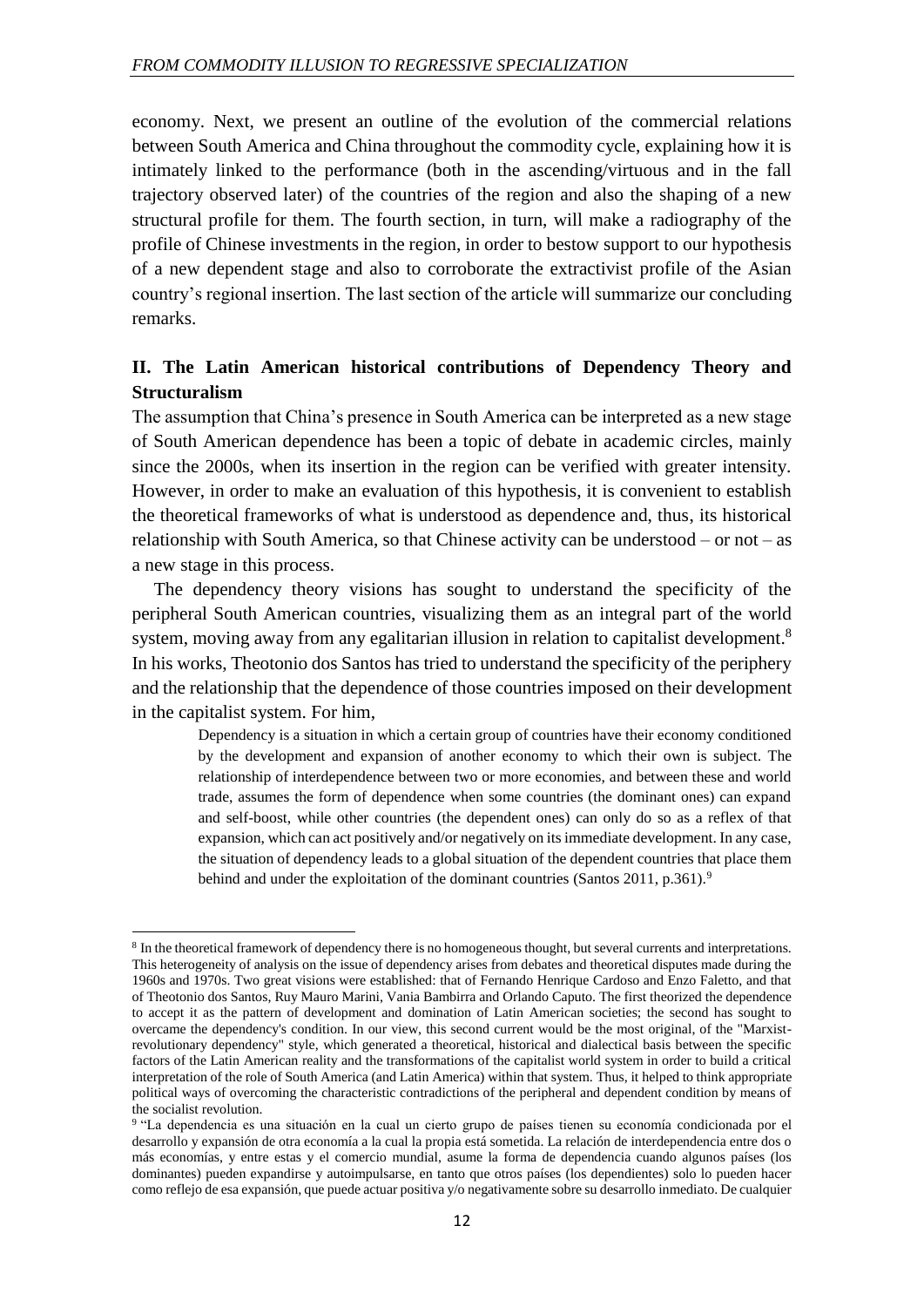economy. Next, we present an outline of the evolution of the commercial relations between South America and China throughout the commodity cycle, explaining how it is intimately linked to the performance (both in the ascending/virtuous and in the fall trajectory observed later) of the countries of the region and also the shaping of a new structural profile for them. The fourth section, in turn, will make a radiography of the profile of Chinese investments in the region, in order to bestow support to our hypothesis of a new dependent stage and also to corroborate the extractivist profile of the Asian country's regional insertion. The last section of the article will summarize our concluding remarks.

## **II. The Latin American historical contributions of Dependency Theory and Structuralism**

The assumption that China's presence in South America can be interpreted as a new stage of South American dependence has been a topic of debate in academic circles, mainly since the 2000s, when its insertion in the region can be verified with greater intensity. However, in order to make an evaluation of this hypothesis, it is convenient to establish the theoretical frameworks of what is understood as dependence and, thus, its historical relationship with South America, so that Chinese activity can be understood – or not – as a new stage in this process.

The dependency theory visions has sought to understand the specificity of the peripheral South American countries, visualizing them as an integral part of the world system, moving away from any egalitarian illusion in relation to capitalist development.<sup>8</sup> In his works, Theotonio dos Santos has tried to understand the specificity of the periphery and the relationship that the dependence of those countries imposed on their development in the capitalist system. For him,

Dependency is a situation in which a certain group of countries have their economy conditioned by the development and expansion of another economy to which their own is subject. The relationship of interdependence between two or more economies, and between these and world trade, assumes the form of dependence when some countries (the dominant ones) can expand and self-boost, while other countries (the dependent ones) can only do so as a reflex of that expansion, which can act positively and/or negatively on its immediate development. In any case, the situation of dependency leads to a global situation of the dependent countries that place them behind and under the exploitation of the dominant countries (Santos 2011, p.361).<sup>9</sup>

<sup>&</sup>lt;sup>8</sup> In the theoretical framework of dependency there is no homogeneous thought, but several currents and interpretations. This heterogeneity of analysis on the issue of dependency arises from debates and theoretical disputes made during the 1960s and 1970s. Two great visions were established: that of Fernando Henrique Cardoso and Enzo Faletto, and that of Theotonio dos Santos, Ruy Mauro Marini, Vania Bambirra and Orlando Caputo. The first theorized the dependence to accept it as the pattern of development and domination of Latin American societies; the second has sought to overcame the dependency's condition. In our view, this second current would be the most original, of the "Marxistrevolutionary dependency" style, which generated a theoretical, historical and dialectical basis between the specific factors of the Latin American reality and the transformations of the capitalist world system in order to build a critical interpretation of the role of South America (and Latin America) within that system. Thus, it helped to think appropriate political ways of overcoming the characteristic contradictions of the peripheral and dependent condition by means of the socialist revolution.

<sup>9</sup> "La dependencia es una situación en la cual un cierto grupo de países tienen su economía condicionada por el desarrollo y expansión de otra economía a la cual la propia está sometida. La relación de interdependencia entre dos o más economías, y entre estas y el comercio mundial, asume la forma de dependencia cuando algunos países (los dominantes) pueden expandirse y autoimpulsarse, en tanto que otros países (los dependientes) solo lo pueden hacer como reflejo de esa expansión, que puede actuar positiva y/o negativamente sobre su desarrollo inmediato. De cualquier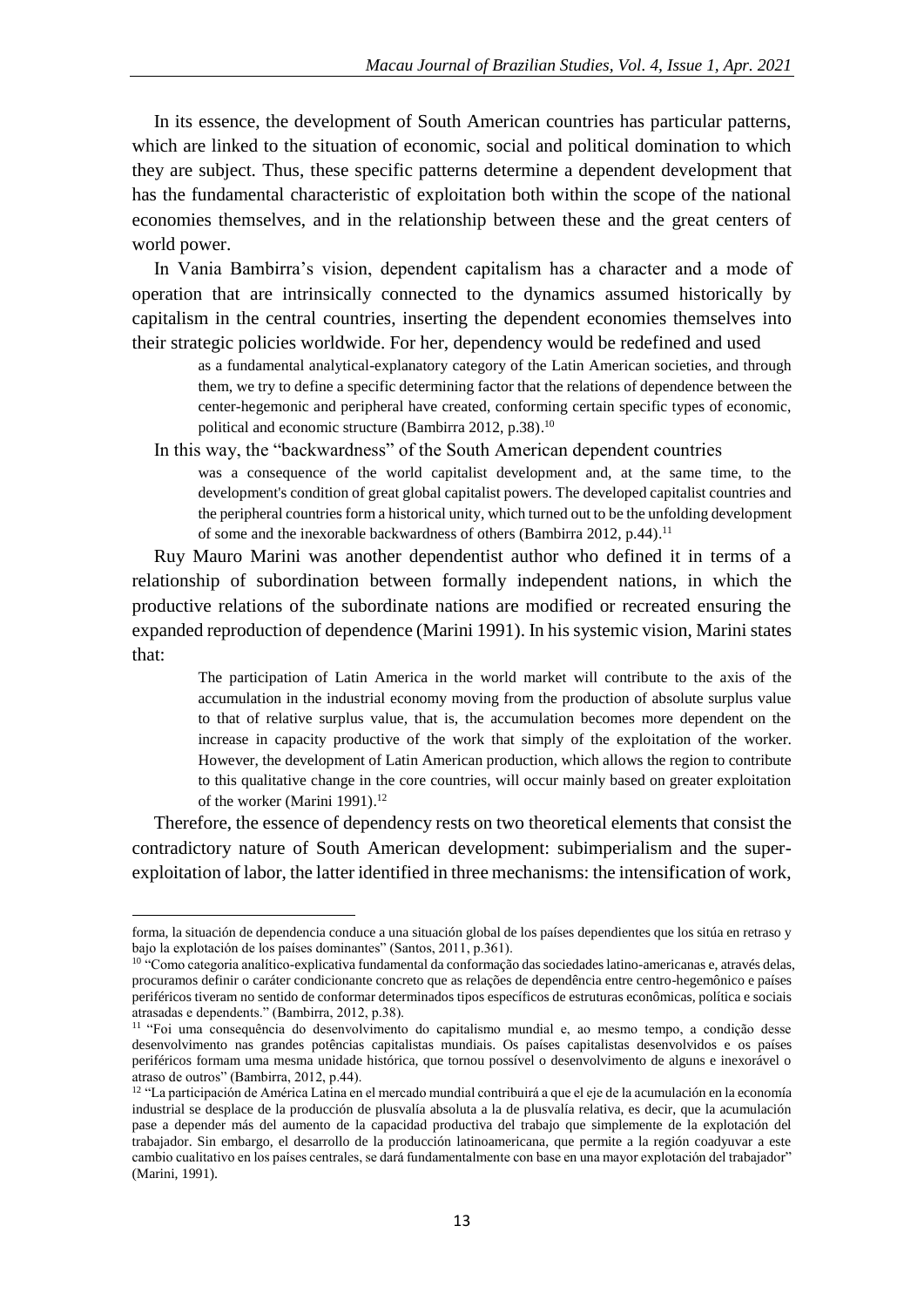In its essence, the development of South American countries has particular patterns, which are linked to the situation of economic, social and political domination to which they are subject. Thus, these specific patterns determine a dependent development that has the fundamental characteristic of exploitation both within the scope of the national economies themselves, and in the relationship between these and the great centers of world power.

In Vania Bambirra's vision, dependent capitalism has a character and a mode of operation that are intrinsically connected to the dynamics assumed historically by capitalism in the central countries, inserting the dependent economies themselves into their strategic policies worldwide. For her, dependency would be redefined and used

as a fundamental analytical-explanatory category of the Latin American societies, and through them, we try to define a specific determining factor that the relations of dependence between the center-hegemonic and peripheral have created, conforming certain specific types of economic, political and economic structure (Bambirra 2012, p.38).<sup>10</sup>

In this way, the "backwardness" of the South American dependent countries

was a consequence of the world capitalist development and, at the same time, to the development's condition of great global capitalist powers. The developed capitalist countries and the peripheral countries form a historical unity, which turned out to be the unfolding development of some and the inexorable backwardness of others (Bambirra 2012, p.44).<sup>11</sup>

Ruy Mauro Marini was another dependentist author who defined it in terms of a relationship of subordination between formally independent nations, in which the productive relations of the subordinate nations are modified or recreated ensuring the expanded reproduction of dependence (Marini 1991). In his systemic vision, Marini states that:

The participation of Latin America in the world market will contribute to the axis of the accumulation in the industrial economy moving from the production of absolute surplus value to that of relative surplus value, that is, the accumulation becomes more dependent on the increase in capacity productive of the work that simply of the exploitation of the worker. However, the development of Latin American production, which allows the region to contribute to this qualitative change in the core countries, will occur mainly based on greater exploitation of the worker (Marini 1991).<sup>12</sup>

Therefore, the essence of dependency rests on two theoretical elements that consist the contradictory nature of South American development: subimperialism and the superexploitation of labor, the latter identified in three mechanisms: the intensification of work,

1

forma, la situación de dependencia conduce a una situación global de los países dependientes que los sitúa en retraso y bajo la explotación de los países dominantes" (Santos, 2011, p.361).

<sup>&</sup>lt;sup>10</sup> "Como categoria analítico-explicativa fundamental da conformação das sociedades latino-americanas e, através delas, procuramos definir o caráter condicionante concreto que as relações de dependência entre centro-hegemônico e países periféricos tiveram no sentido de conformar determinados tipos específicos de estruturas econômicas, política e sociais atrasadas e dependents." (Bambirra, 2012, p.38).

<sup>11</sup> "Foi uma consequência do desenvolvimento do capitalismo mundial e, ao mesmo tempo, a condição desse desenvolvimento nas grandes potências capitalistas mundiais. Os países capitalistas desenvolvidos e os países periféricos formam uma mesma unidade histórica, que tornou possível o desenvolvimento de alguns e inexorável o atraso de outros" (Bambirra, 2012, p.44).

<sup>&</sup>lt;sup>12</sup> "La participación de América Latina en el mercado mundial contribuirá a que el eje de la acumulación en la economía industrial se desplace de la producción de plusvalía absoluta a la de plusvalía relativa, es decir, que la acumulación pase a depender más del aumento de la capacidad productiva del trabajo que simplemente de la explotación del trabajador. Sin embargo, el desarrollo de la producción latinoamericana, que permite a la región coadyuvar a este cambio cualitativo en los países centrales, se dará fundamentalmente con base en una mayor explotación del trabajador" (Marini, 1991).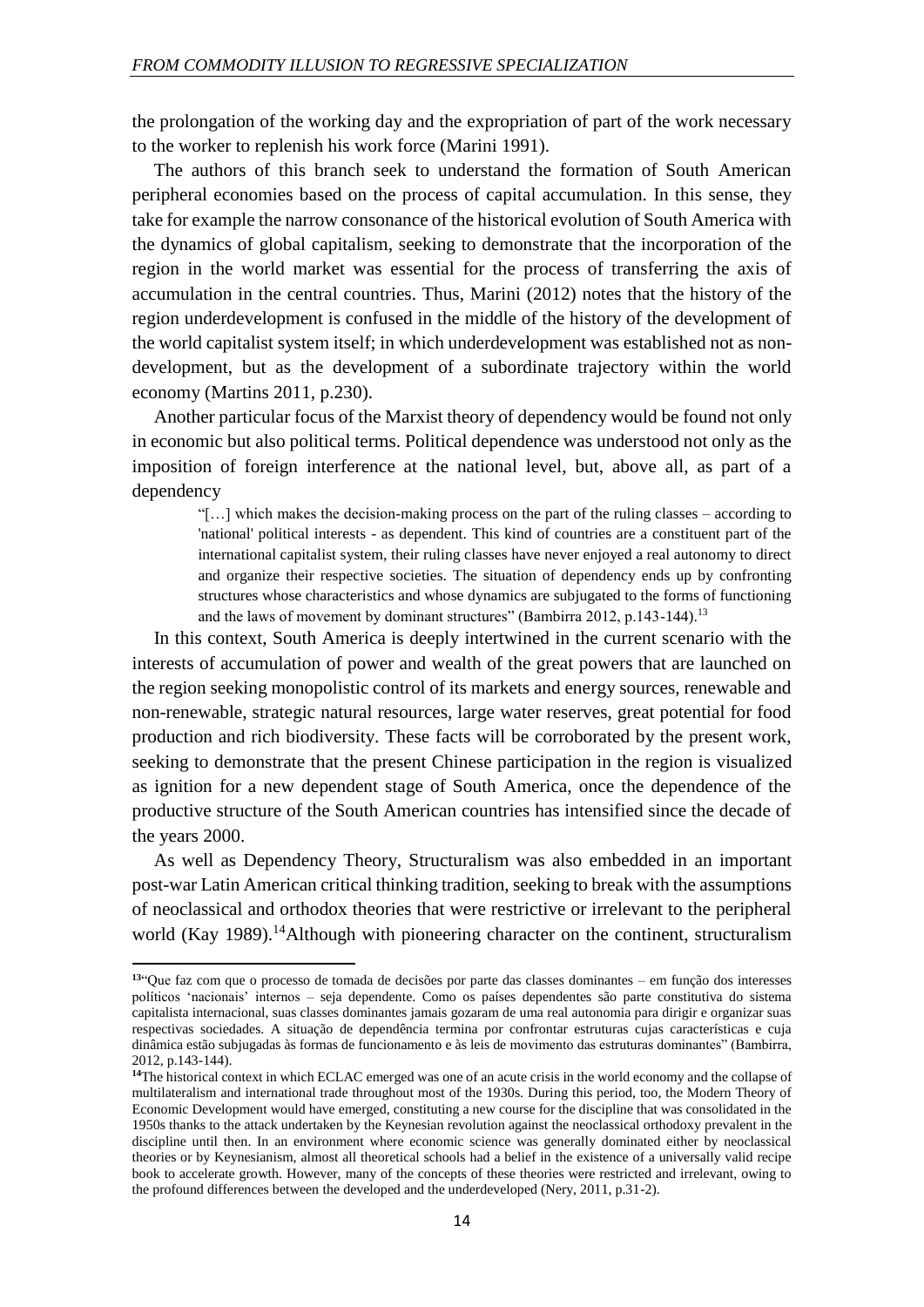the prolongation of the working day and the expropriation of part of the work necessary to the worker to replenish his work force (Marini 1991).

The authors of this branch seek to understand the formation of South American peripheral economies based on the process of capital accumulation. In this sense, they take for example the narrow consonance of the historical evolution of South America with the dynamics of global capitalism, seeking to demonstrate that the incorporation of the region in the world market was essential for the process of transferring the axis of accumulation in the central countries. Thus, Marini (2012) notes that the history of the region underdevelopment is confused in the middle of the history of the development of the world capitalist system itself; in which underdevelopment was established not as nondevelopment, but as the development of a subordinate trajectory within the world economy (Martins 2011, p.230).

Another particular focus of the Marxist theory of dependency would be found not only in economic but also political terms. Political dependence was understood not only as the imposition of foreign interference at the national level, but, above all, as part of a dependency

"[…] which makes the decision-making process on the part of the ruling classes – according to 'national' political interests - as dependent. This kind of countries are a constituent part of the international capitalist system, their ruling classes have never enjoyed a real autonomy to direct and organize their respective societies. The situation of dependency ends up by confronting structures whose characteristics and whose dynamics are subjugated to the forms of functioning and the laws of movement by dominant structures" (Bambirra 2012, p.143-144).<sup>13</sup>

In this context, South America is deeply intertwined in the current scenario with the interests of accumulation of power and wealth of the great powers that are launched on the region seeking monopolistic control of its markets and energy sources, renewable and non-renewable, strategic natural resources, large water reserves, great potential for food production and rich biodiversity. These facts will be corroborated by the present work, seeking to demonstrate that the present Chinese participation in the region is visualized as ignition for a new dependent stage of South America, once the dependence of the productive structure of the South American countries has intensified since the decade of the years 2000.

As well as Dependency Theory, Structuralism was also embedded in an important post-war Latin American critical thinking tradition, seeking to break with the assumptions of neoclassical and orthodox theories that were restrictive or irrelevant to the peripheral world (Kay 1989).<sup>14</sup>Although with pioneering character on the continent, structuralism

1

**<sup>13</sup>**"Que faz com que o processo de tomada de decisões por parte das classes dominantes – em função dos interesses políticos 'nacionais' internos – seja dependente. Como os países dependentes são parte constitutiva do sistema capitalista internacional, suas classes dominantes jamais gozaram de uma real autonomia para dirigir e organizar suas respectivas sociedades. A situação de dependência termina por confrontar estruturas cujas características e cuja dinâmica estão subjugadas às formas de funcionamento e às leis de movimento das estruturas dominantes" (Bambirra, 2012, p.143-144).

**<sup>14</sup>**The historical context in which ECLAC emerged was one of an acute crisis in the world economy and the collapse of multilateralism and international trade throughout most of the 1930s. During this period, too, the Modern Theory of Economic Development would have emerged, constituting a new course for the discipline that was consolidated in the 1950s thanks to the attack undertaken by the Keynesian revolution against the neoclassical orthodoxy prevalent in the discipline until then. In an environment where economic science was generally dominated either by neoclassical theories or by Keynesianism, almost all theoretical schools had a belief in the existence of a universally valid recipe book to accelerate growth. However, many of the concepts of these theories were restricted and irrelevant, owing to the profound differences between the developed and the underdeveloped (Nery, 2011, p.31-2).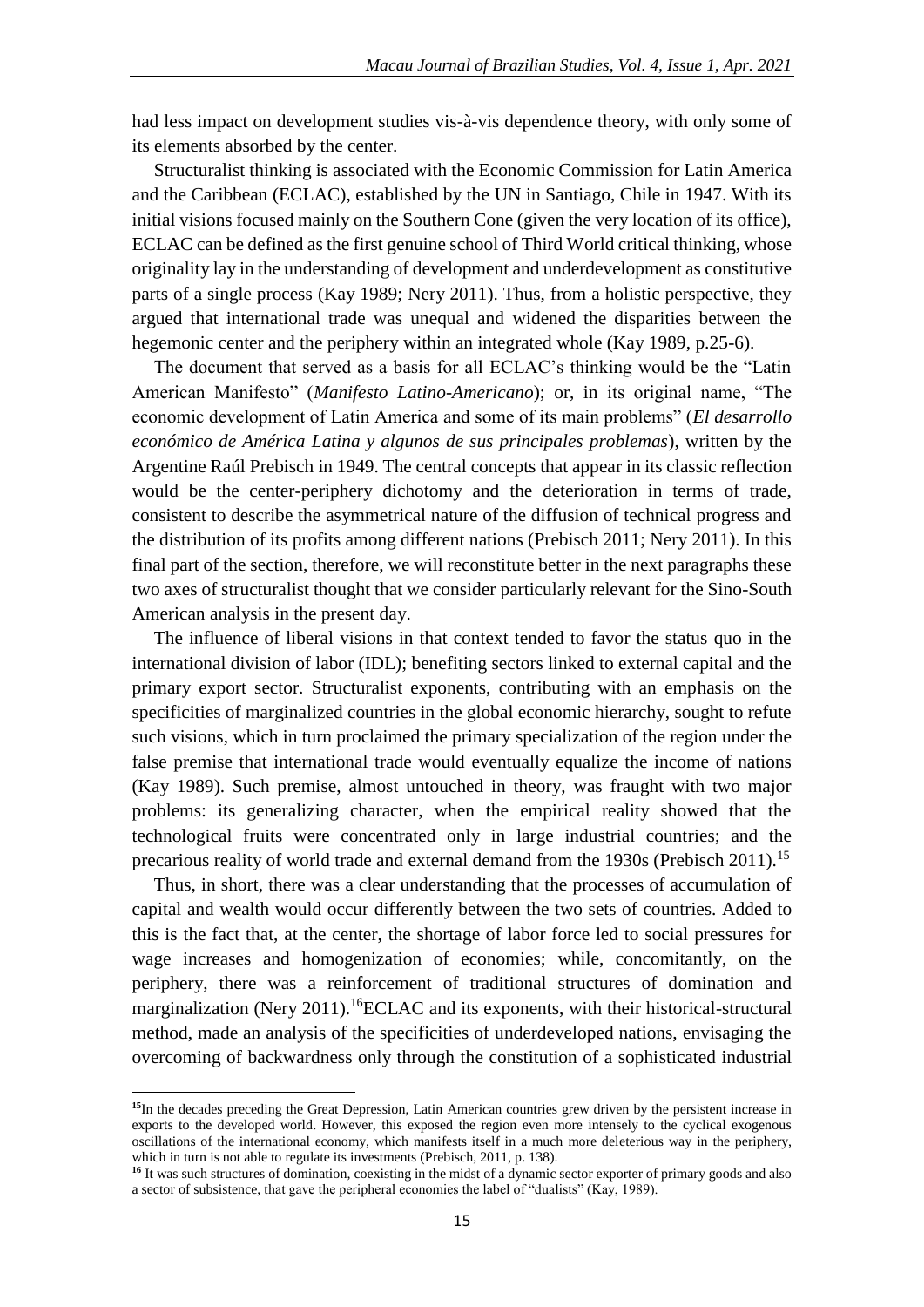had less impact on development studies vis-à-vis dependence theory, with only some of its elements absorbed by the center.

Structuralist thinking is associated with the Economic Commission for Latin America and the Caribbean (ECLAC), established by the UN in Santiago, Chile in 1947. With its initial visions focused mainly on the Southern Cone (given the very location of its office), ECLAC can be defined as the first genuine school of Third World critical thinking, whose originality lay in the understanding of development and underdevelopment as constitutive parts of a single process (Kay 1989; Nery 2011). Thus, from a holistic perspective, they argued that international trade was unequal and widened the disparities between the hegemonic center and the periphery within an integrated whole (Kay 1989, p.25-6).

The document that served as a basis for all ECLAC's thinking would be the "Latin American Manifesto" (*Manifesto Latino-Americano*); or, in its original name, "The economic development of Latin America and some of its main problems" (*El desarrollo económico de América Latina y algunos de sus principales problemas*), written by the Argentine Raúl Prebisch in 1949. The central concepts that appear in its classic reflection would be the center-periphery dichotomy and the deterioration in terms of trade, consistent to describe the asymmetrical nature of the diffusion of technical progress and the distribution of its profits among different nations (Prebisch 2011; Nery 2011). In this final part of the section, therefore, we will reconstitute better in the next paragraphs these two axes of structuralist thought that we consider particularly relevant for the Sino-South American analysis in the present day.

The influence of liberal visions in that context tended to favor the status quo in the international division of labor (IDL); benefiting sectors linked to external capital and the primary export sector. Structuralist exponents, contributing with an emphasis on the specificities of marginalized countries in the global economic hierarchy, sought to refute such visions, which in turn proclaimed the primary specialization of the region under the false premise that international trade would eventually equalize the income of nations (Kay 1989). Such premise, almost untouched in theory, was fraught with two major problems: its generalizing character, when the empirical reality showed that the technological fruits were concentrated only in large industrial countries; and the precarious reality of world trade and external demand from the 1930s (Prebisch 2011).<sup>15</sup>

Thus, in short, there was a clear understanding that the processes of accumulation of capital and wealth would occur differently between the two sets of countries. Added to this is the fact that, at the center, the shortage of labor force led to social pressures for wage increases and homogenization of economies; while, concomitantly, on the periphery, there was a reinforcement of traditional structures of domination and marginalization (Nery 2011).<sup>16</sup>ECLAC and its exponents, with their historical-structural method, made an analysis of the specificities of underdeveloped nations, envisaging the overcoming of backwardness only through the constitution of a sophisticated industrial

**<sup>15</sup>**In the decades preceding the Great Depression, Latin American countries grew driven by the persistent increase in exports to the developed world. However, this exposed the region even more intensely to the cyclical exogenous oscillations of the international economy, which manifests itself in a much more deleterious way in the periphery, which in turn is not able to regulate its investments (Prebisch, 2011, p. 138).

**<sup>16</sup>** It was such structures of domination, coexisting in the midst of a dynamic sector exporter of primary goods and also a sector of subsistence, that gave the peripheral economies the label of "dualists" (Kay, 1989).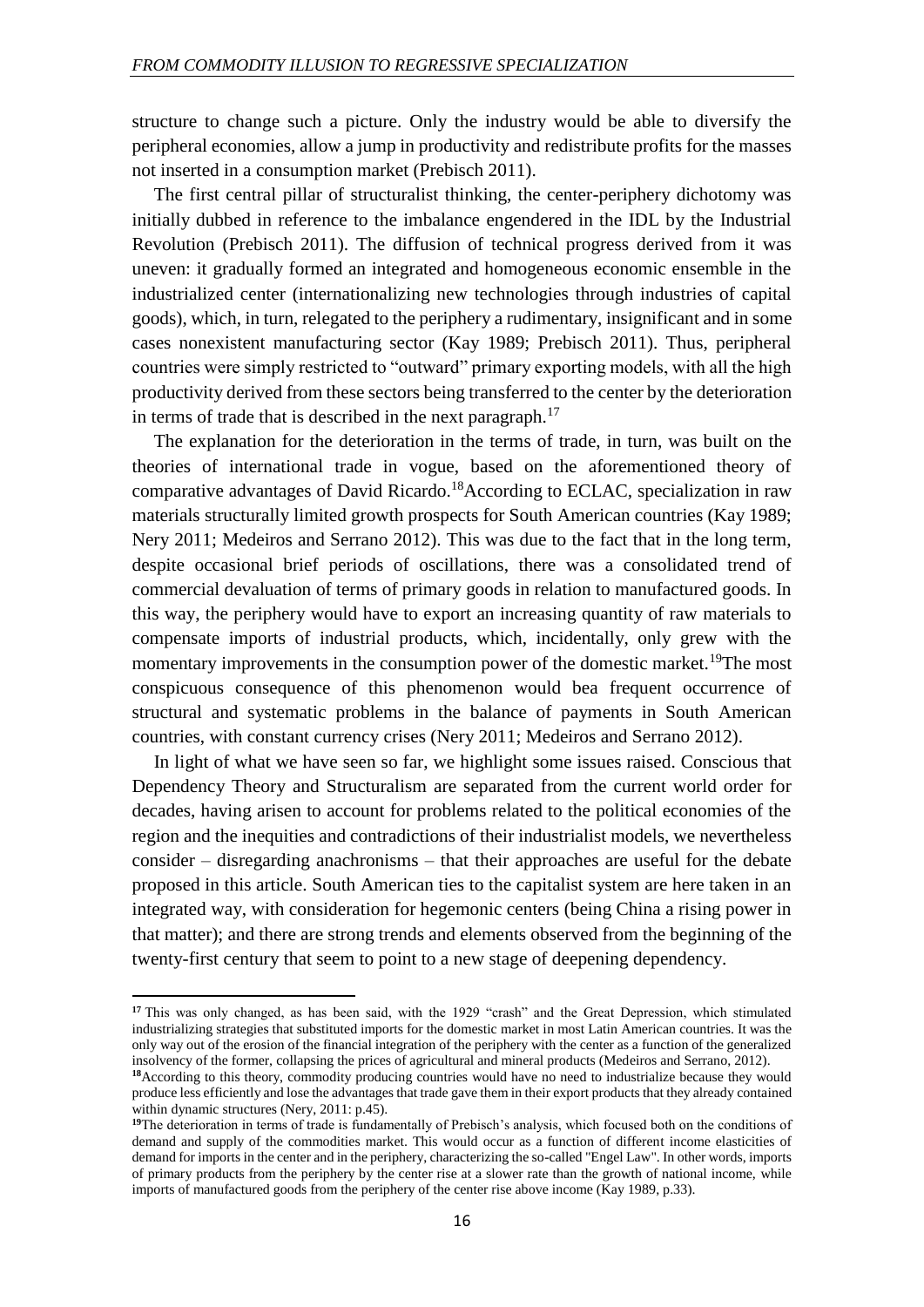structure to change such a picture. Only the industry would be able to diversify the peripheral economies, allow a jump in productivity and redistribute profits for the masses not inserted in a consumption market (Prebisch 2011).

The first central pillar of structuralist thinking, the center-periphery dichotomy was initially dubbed in reference to the imbalance engendered in the IDL by the Industrial Revolution (Prebisch 2011). The diffusion of technical progress derived from it was uneven: it gradually formed an integrated and homogeneous economic ensemble in the industrialized center (internationalizing new technologies through industries of capital goods), which, in turn, relegated to the periphery a rudimentary, insignificant and in some cases nonexistent manufacturing sector (Kay 1989; Prebisch 2011). Thus, peripheral countries were simply restricted to "outward" primary exporting models, with all the high productivity derived from these sectors being transferred to the center by the deterioration in terms of trade that is described in the next paragraph.<sup>17</sup>

The explanation for the deterioration in the terms of trade, in turn, was built on the theories of international trade in vogue, based on the aforementioned theory of comparative advantages of David Ricardo.<sup>18</sup>According to ECLAC, specialization in raw materials structurally limited growth prospects for South American countries (Kay 1989; Nery 2011; Medeiros and Serrano 2012). This was due to the fact that in the long term, despite occasional brief periods of oscillations, there was a consolidated trend of commercial devaluation of terms of primary goods in relation to manufactured goods. In this way, the periphery would have to export an increasing quantity of raw materials to compensate imports of industrial products, which, incidentally, only grew with the momentary improvements in the consumption power of the domestic market.<sup>19</sup>The most conspicuous consequence of this phenomenon would bea frequent occurrence of structural and systematic problems in the balance of payments in South American countries, with constant currency crises (Nery 2011; Medeiros and Serrano 2012).

In light of what we have seen so far, we highlight some issues raised. Conscious that Dependency Theory and Structuralism are separated from the current world order for decades, having arisen to account for problems related to the political economies of the region and the inequities and contradictions of their industrialist models, we nevertheless consider – disregarding anachronisms – that their approaches are useful for the debate proposed in this article. South American ties to the capitalist system are here taken in an integrated way, with consideration for hegemonic centers (being China a rising power in that matter); and there are strong trends and elements observed from the beginning of the twenty-first century that seem to point to a new stage of deepening dependency.

 $\overline{a}$ 

<sup>&</sup>lt;sup>17</sup> This was only changed, as has been said, with the 1929 "crash" and the Great Depression, which stimulated industrializing strategies that substituted imports for the domestic market in most Latin American countries. It was the only way out of the erosion of the financial integration of the periphery with the center as a function of the generalized insolvency of the former, collapsing the prices of agricultural and mineral products (Medeiros and Serrano, 2012).

**<sup>18</sup>**According to this theory, commodity producing countries would have no need to industrialize because they would produce less efficiently and lose the advantages that trade gave them in their export products that they already contained within dynamic structures (Nery, 2011: p.45).

**<sup>19</sup>**The deterioration in terms of trade is fundamentally of Prebisch's analysis, which focused both on the conditions of demand and supply of the commodities market. This would occur as a function of different income elasticities of demand for imports in the center and in the periphery, characterizing the so-called "Engel Law". In other words, imports of primary products from the periphery by the center rise at a slower rate than the growth of national income, while imports of manufactured goods from the periphery of the center rise above income (Kay 1989, p.33).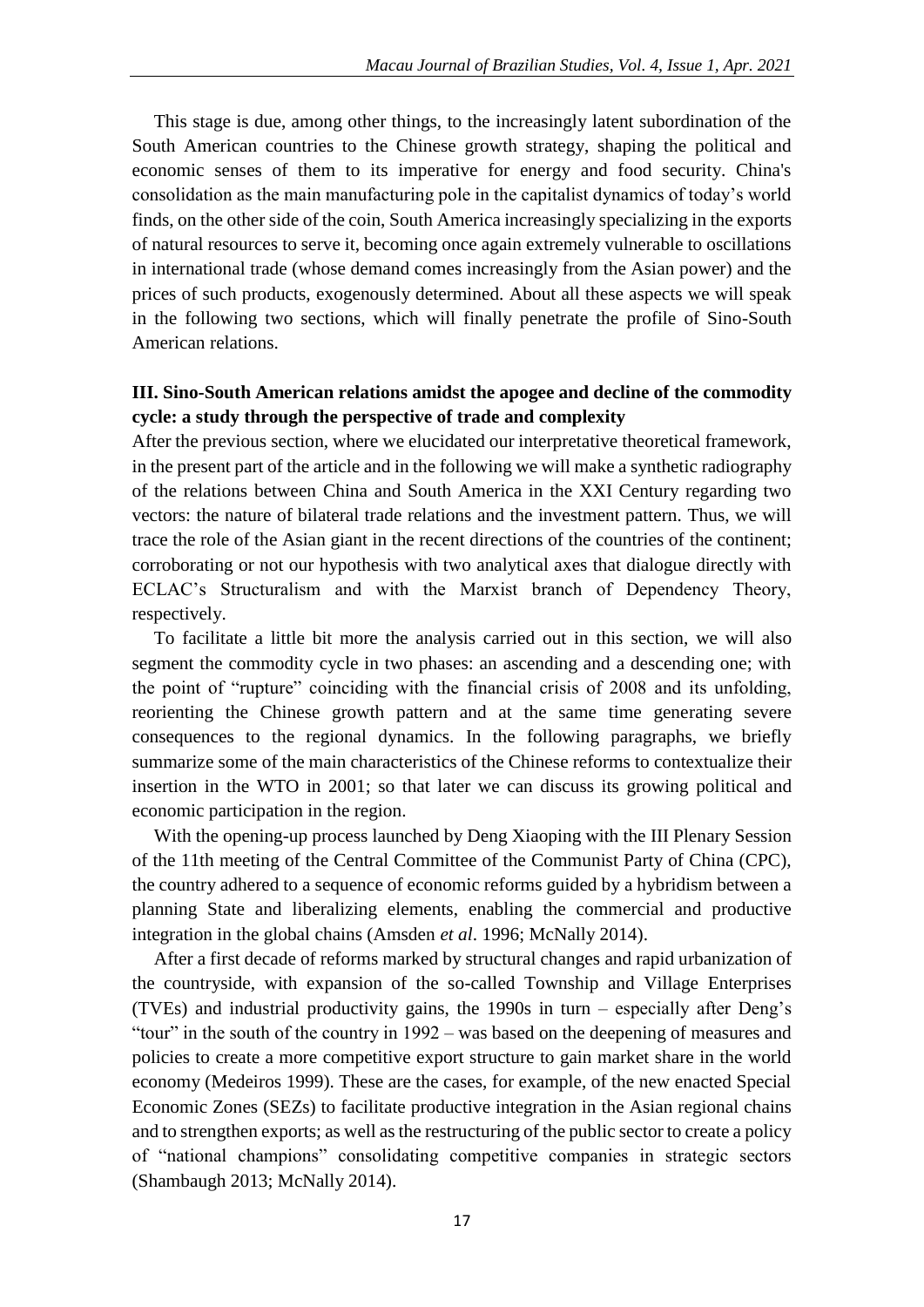This stage is due, among other things, to the increasingly latent subordination of the South American countries to the Chinese growth strategy, shaping the political and economic senses of them to its imperative for energy and food security. China's consolidation as the main manufacturing pole in the capitalist dynamics of today's world finds, on the other side of the coin, South America increasingly specializing in the exports of natural resources to serve it, becoming once again extremely vulnerable to oscillations in international trade (whose demand comes increasingly from the Asian power) and the prices of such products, exogenously determined. About all these aspects we will speak in the following two sections, which will finally penetrate the profile of Sino-South American relations.

### **III. Sino-South American relations amidst the apogee and decline of the commodity cycle: a study through the perspective of trade and complexity**

After the previous section, where we elucidated our interpretative theoretical framework, in the present part of the article and in the following we will make a synthetic radiography of the relations between China and South America in the XXI Century regarding two vectors: the nature of bilateral trade relations and the investment pattern. Thus, we will trace the role of the Asian giant in the recent directions of the countries of the continent; corroborating or not our hypothesis with two analytical axes that dialogue directly with ECLAC's Structuralism and with the Marxist branch of Dependency Theory, respectively.

To facilitate a little bit more the analysis carried out in this section, we will also segment the commodity cycle in two phases: an ascending and a descending one; with the point of "rupture" coinciding with the financial crisis of 2008 and its unfolding, reorienting the Chinese growth pattern and at the same time generating severe consequences to the regional dynamics. In the following paragraphs, we briefly summarize some of the main characteristics of the Chinese reforms to contextualize their insertion in the WTO in 2001; so that later we can discuss its growing political and economic participation in the region.

With the opening-up process launched by Deng Xiaoping with the III Plenary Session of the 11th meeting of the Central Committee of the Communist Party of China (CPC), the country adhered to a sequence of economic reforms guided by a hybridism between a planning State and liberalizing elements, enabling the commercial and productive integration in the global chains (Amsden *et al*. 1996; McNally 2014).

After a first decade of reforms marked by structural changes and rapid urbanization of the countryside, with expansion of the so-called Township and Village Enterprises (TVEs) and industrial productivity gains, the 1990s in turn – especially after Deng's "tour" in the south of the country in 1992 – was based on the deepening of measures and policies to create a more competitive export structure to gain market share in the world economy (Medeiros 1999). These are the cases, for example, of the new enacted Special Economic Zones (SEZs) to facilitate productive integration in the Asian regional chains and to strengthen exports; as well as the restructuring of the public sector to create a policy of "national champions" consolidating competitive companies in strategic sectors (Shambaugh 2013; McNally 2014).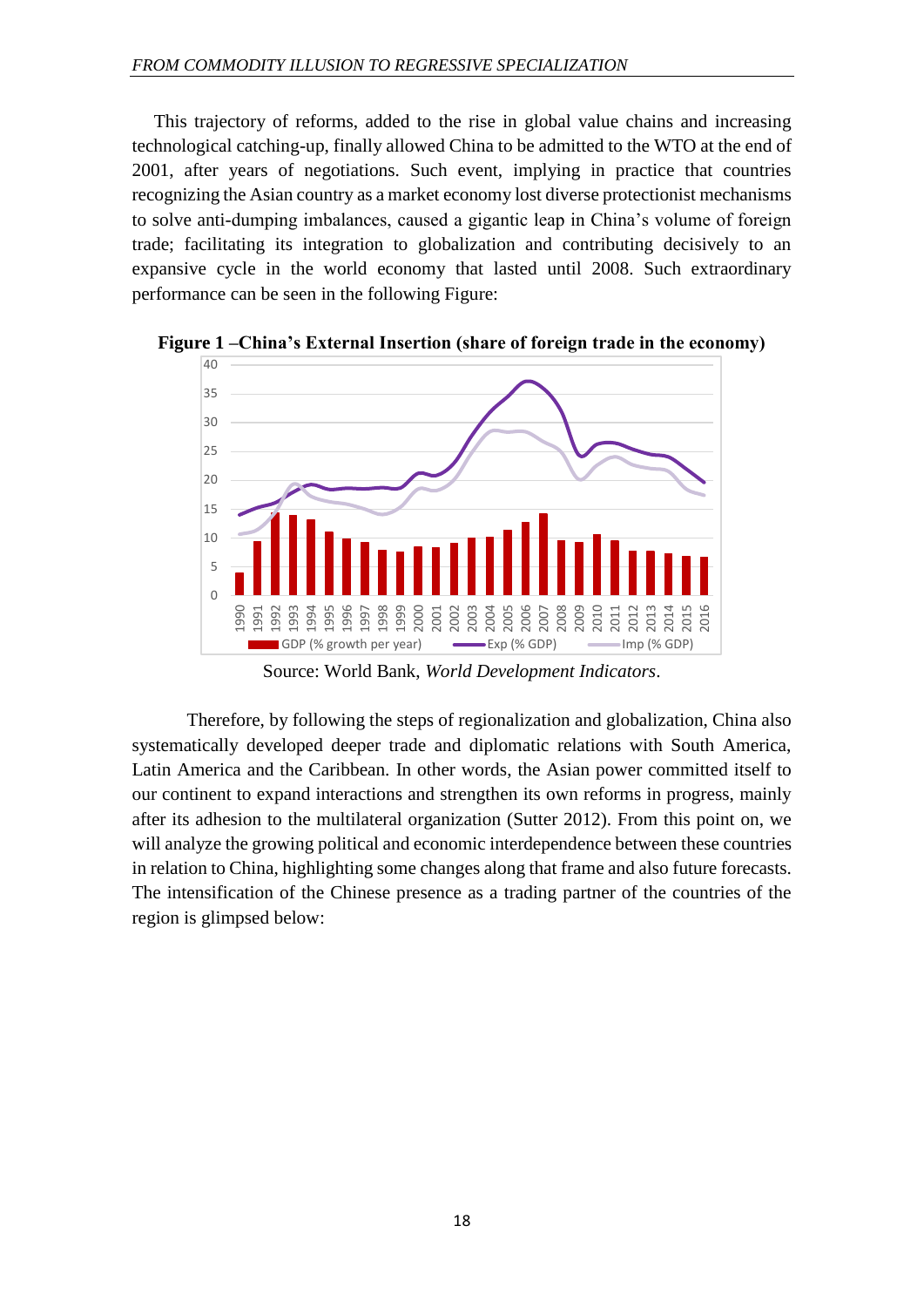This trajectory of reforms, added to the rise in global value chains and increasing technological catching-up, finally allowed China to be admitted to the WTO at the end of 2001, after years of negotiations. Such event, implying in practice that countries recognizing the Asian country as a market economy lost diverse protectionist mechanisms to solve anti-dumping imbalances, caused a gigantic leap in China's volume of foreign trade; facilitating its integration to globalization and contributing decisively to an expansive cycle in the world economy that lasted until 2008. Such extraordinary performance can be seen in the following Figure:



**Figure 1 –China's External Insertion (share of foreign trade in the economy)**

Source: World Bank, *World Development Indicators*.

Therefore, by following the steps of regionalization and globalization, China also systematically developed deeper trade and diplomatic relations with South America, Latin America and the Caribbean. In other words, the Asian power committed itself to our continent to expand interactions and strengthen its own reforms in progress, mainly after its adhesion to the multilateral organization (Sutter 2012). From this point on, we will analyze the growing political and economic interdependence between these countries in relation to China, highlighting some changes along that frame and also future forecasts. The intensification of the Chinese presence as a trading partner of the countries of the region is glimpsed below: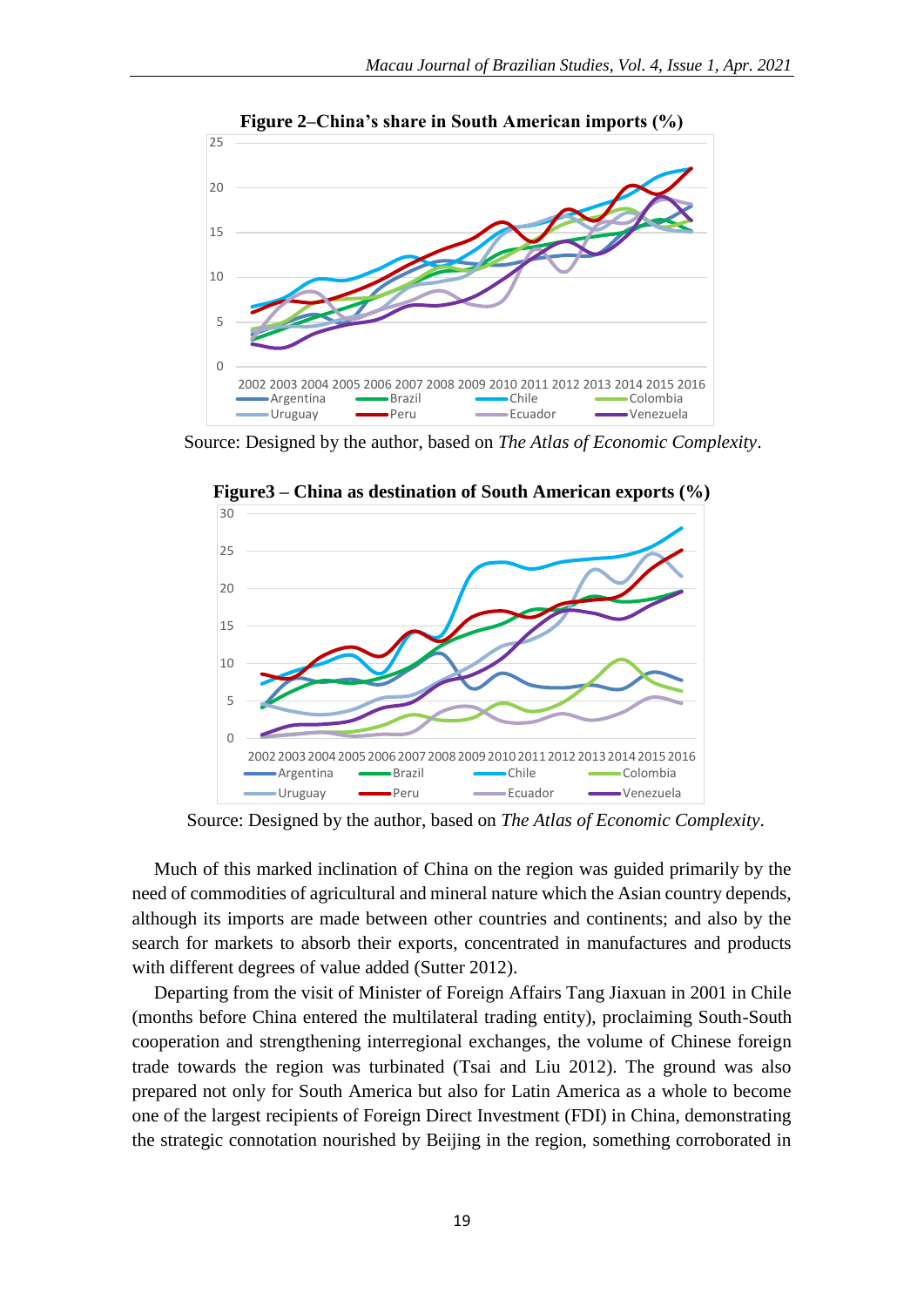

**Figure 2–China's share in South American imports (%)**

Source: Designed by the author, based on *The Atlas of Economic Complexity*.



**Figure3 – China as destination of South American exports (%)**

Source: Designed by the author, based on *The Atlas of Economic Complexity*.

Much of this marked inclination of China on the region was guided primarily by the need of commodities of agricultural and mineral nature which the Asian country depends, although its imports are made between other countries and continents; and also by the search for markets to absorb their exports, concentrated in manufactures and products with different degrees of value added (Sutter 2012).

Departing from the visit of Minister of Foreign Affairs Tang Jiaxuan in 2001 in Chile (months before China entered the multilateral trading entity), proclaiming South-South cooperation and strengthening interregional exchanges, the volume of Chinese foreign trade towards the region was turbinated (Tsai and Liu 2012). The ground was also prepared not only for South America but also for Latin America as a whole to become one of the largest recipients of Foreign Direct Investment (FDI) in China, demonstrating the strategic connotation nourished by Beijing in the region, something corroborated in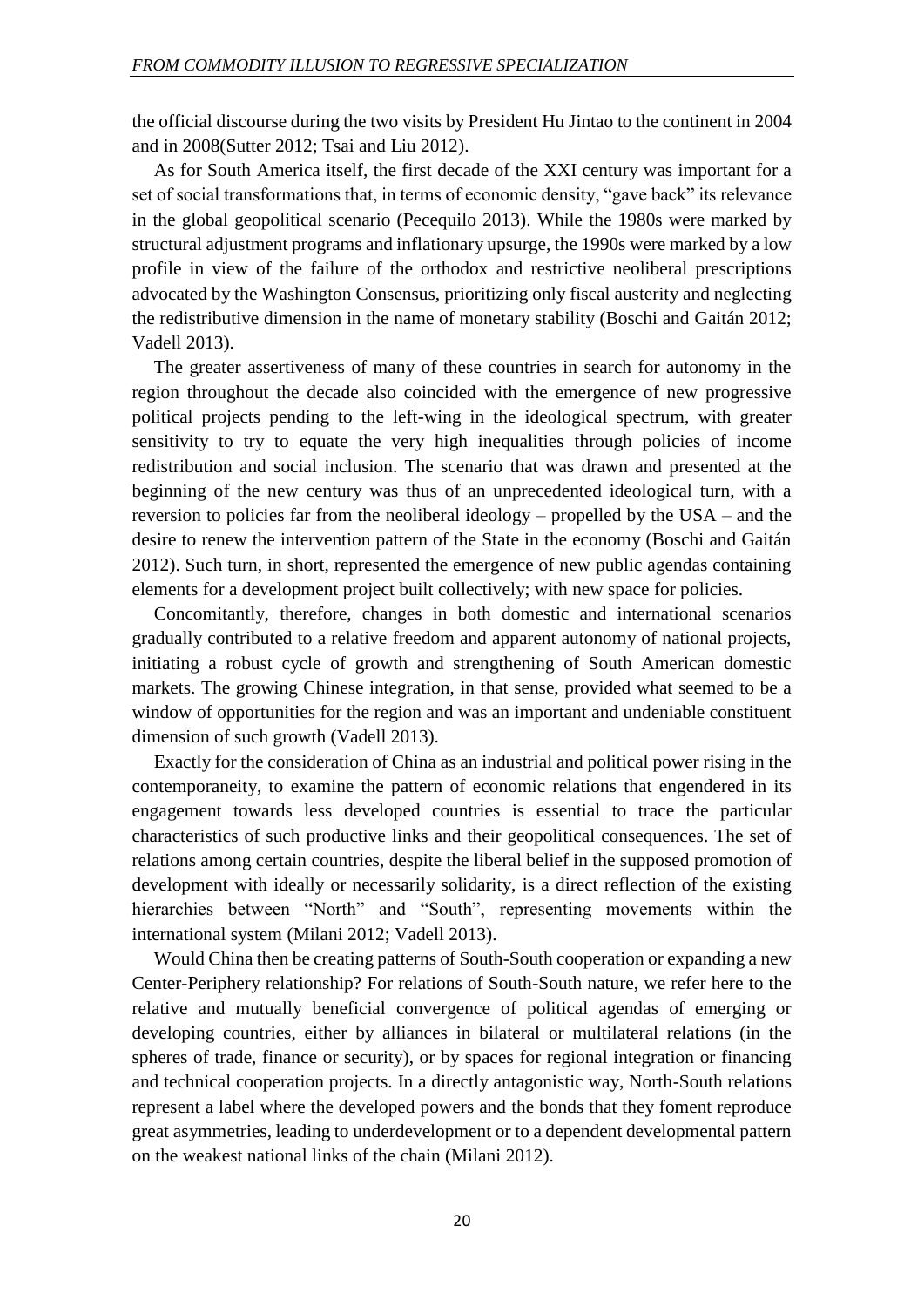the official discourse during the two visits by President Hu Jintao to the continent in 2004 and in 2008(Sutter 2012; Tsai and Liu 2012).

As for South America itself, the first decade of the XXI century was important for a set of social transformations that, in terms of economic density, "gave back" its relevance in the global geopolitical scenario (Pecequilo 2013). While the 1980s were marked by structural adjustment programs and inflationary upsurge, the 1990s were marked by a low profile in view of the failure of the orthodox and restrictive neoliberal prescriptions advocated by the Washington Consensus, prioritizing only fiscal austerity and neglecting the redistributive dimension in the name of monetary stability (Boschi and Gaitán 2012; Vadell 2013).

The greater assertiveness of many of these countries in search for autonomy in the region throughout the decade also coincided with the emergence of new progressive political projects pending to the left-wing in the ideological spectrum, with greater sensitivity to try to equate the very high inequalities through policies of income redistribution and social inclusion. The scenario that was drawn and presented at the beginning of the new century was thus of an unprecedented ideological turn, with a reversion to policies far from the neoliberal ideology – propelled by the USA – and the desire to renew the intervention pattern of the State in the economy (Boschi and Gaitán 2012). Such turn, in short, represented the emergence of new public agendas containing elements for a development project built collectively; with new space for policies.

Concomitantly, therefore, changes in both domestic and international scenarios gradually contributed to a relative freedom and apparent autonomy of national projects, initiating a robust cycle of growth and strengthening of South American domestic markets. The growing Chinese integration, in that sense, provided what seemed to be a window of opportunities for the region and was an important and undeniable constituent dimension of such growth (Vadell 2013).

Exactly for the consideration of China as an industrial and political power rising in the contemporaneity, to examine the pattern of economic relations that engendered in its engagement towards less developed countries is essential to trace the particular characteristics of such productive links and their geopolitical consequences. The set of relations among certain countries, despite the liberal belief in the supposed promotion of development with ideally or necessarily solidarity, is a direct reflection of the existing hierarchies between "North" and "South", representing movements within the international system (Milani 2012; Vadell 2013).

Would China then be creating patterns of South-South cooperation or expanding a new Center-Periphery relationship? For relations of South-South nature, we refer here to the relative and mutually beneficial convergence of political agendas of emerging or developing countries, either by alliances in bilateral or multilateral relations (in the spheres of trade, finance or security), or by spaces for regional integration or financing and technical cooperation projects. In a directly antagonistic way, North-South relations represent a label where the developed powers and the bonds that they foment reproduce great asymmetries, leading to underdevelopment or to a dependent developmental pattern on the weakest national links of the chain (Milani 2012).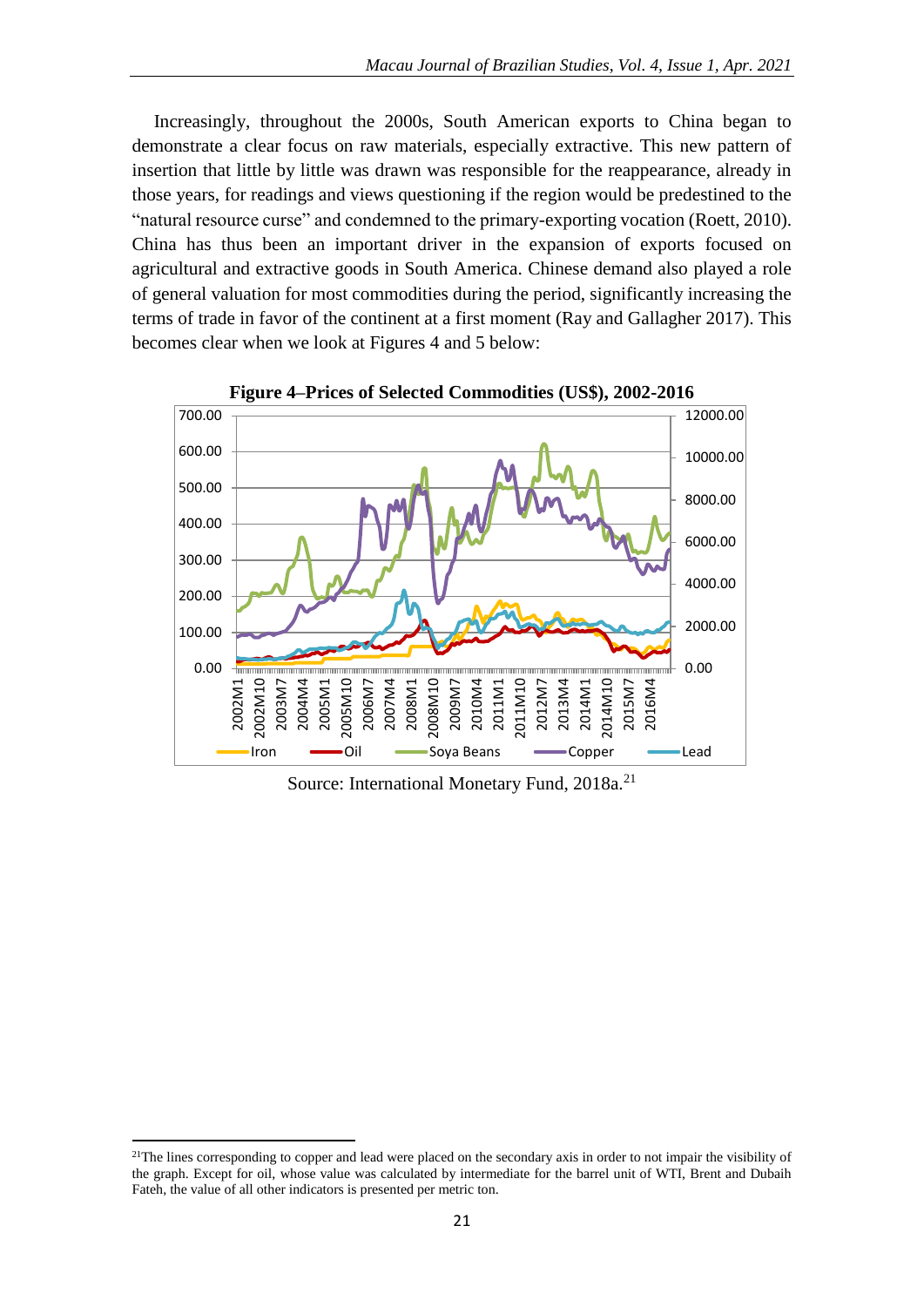Increasingly, throughout the 2000s, South American exports to China began to demonstrate a clear focus on raw materials, especially extractive. This new pattern of insertion that little by little was drawn was responsible for the reappearance, already in those years, for readings and views questioning if the region would be predestined to the "natural resource curse" and condemned to the primary-exporting vocation (Roett, 2010). China has thus been an important driver in the expansion of exports focused on agricultural and extractive goods in South America. Chinese demand also played a role of general valuation for most commodities during the period, significantly increasing the terms of trade in favor of the continent at a first moment (Ray and Gallagher 2017). This becomes clear when we look at Figures 4 and 5 below:



**Figure 4–Prices of Selected Commodities (US\$), 2002-2016**

Source: International Monetary Fund, 2018a.<sup>21</sup>

 $2^{1}$ The lines corresponding to copper and lead were placed on the secondary axis in order to not impair the visibility of the graph. Except for oil, whose value was calculated by intermediate for the barrel unit of WTI, Brent and Dubaih Fateh, the value of all other indicators is presented per metric ton.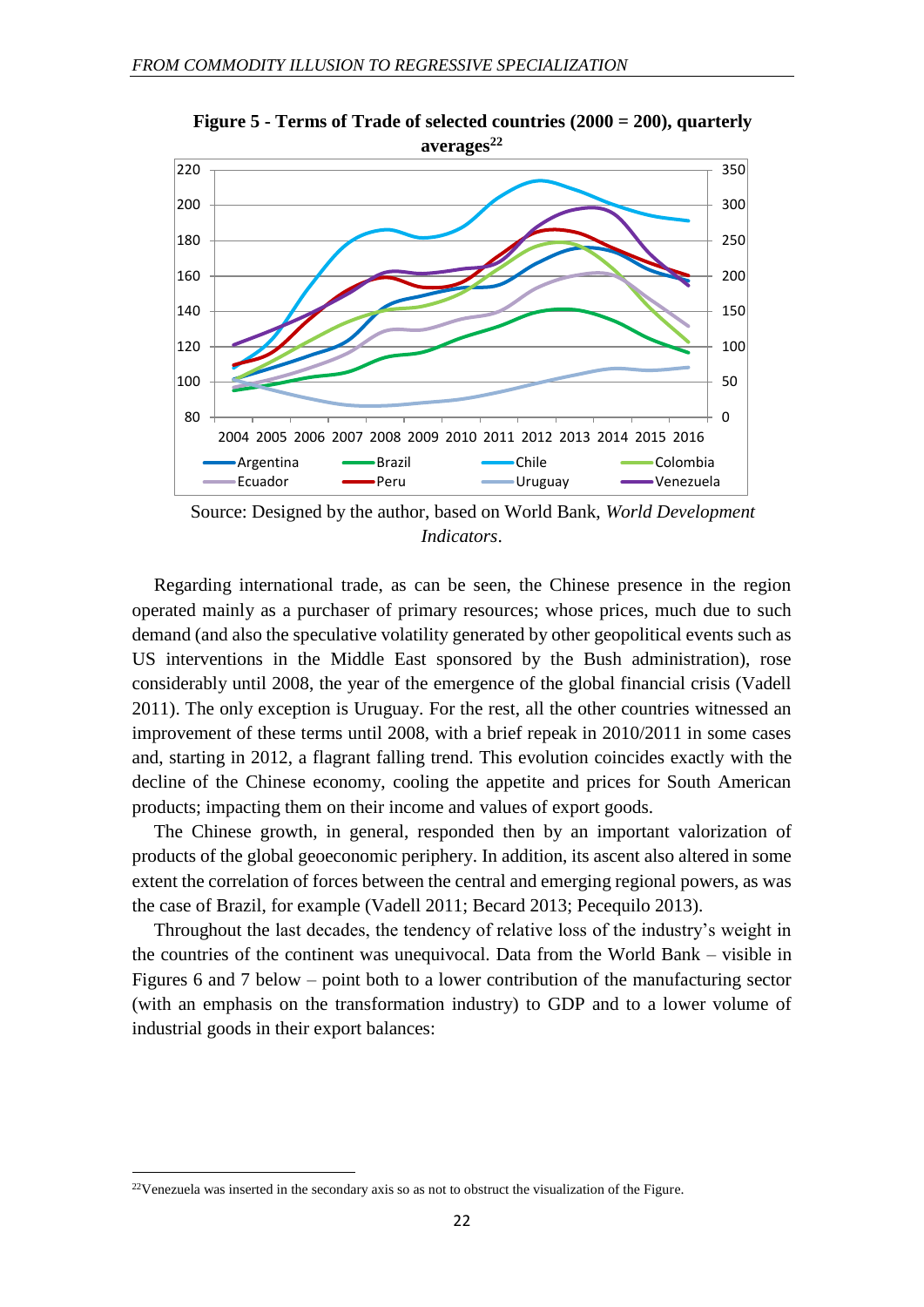

**Figure 5 - Terms of Trade of selected countries (2000 = 200), quarterly averages<sup>22</sup>**

Source: Designed by the author, based on World Bank, *World Development Indicators*.

Regarding international trade, as can be seen, the Chinese presence in the region operated mainly as a purchaser of primary resources; whose prices, much due to such demand (and also the speculative volatility generated by other geopolitical events such as US interventions in the Middle East sponsored by the Bush administration), rose considerably until 2008, the year of the emergence of the global financial crisis (Vadell 2011). The only exception is Uruguay. For the rest, all the other countries witnessed an improvement of these terms until 2008, with a brief repeak in 2010/2011 in some cases and, starting in 2012, a flagrant falling trend. This evolution coincides exactly with the decline of the Chinese economy, cooling the appetite and prices for South American products; impacting them on their income and values of export goods.

The Chinese growth, in general, responded then by an important valorization of products of the global geoeconomic periphery. In addition, its ascent also altered in some extent the correlation of forces between the central and emerging regional powers, as was the case of Brazil, for example (Vadell 2011; Becard 2013; Pecequilo 2013).

Throughout the last decades, the tendency of relative loss of the industry's weight in the countries of the continent was unequivocal. Data from the World Bank – visible in Figures 6 and 7 below – point both to a lower contribution of the manufacturing sector (with an emphasis on the transformation industry) to GDP and to a lower volume of industrial goods in their export balances:

<sup>22</sup>Venezuela was inserted in the secondary axis so as not to obstruct the visualization of the Figure.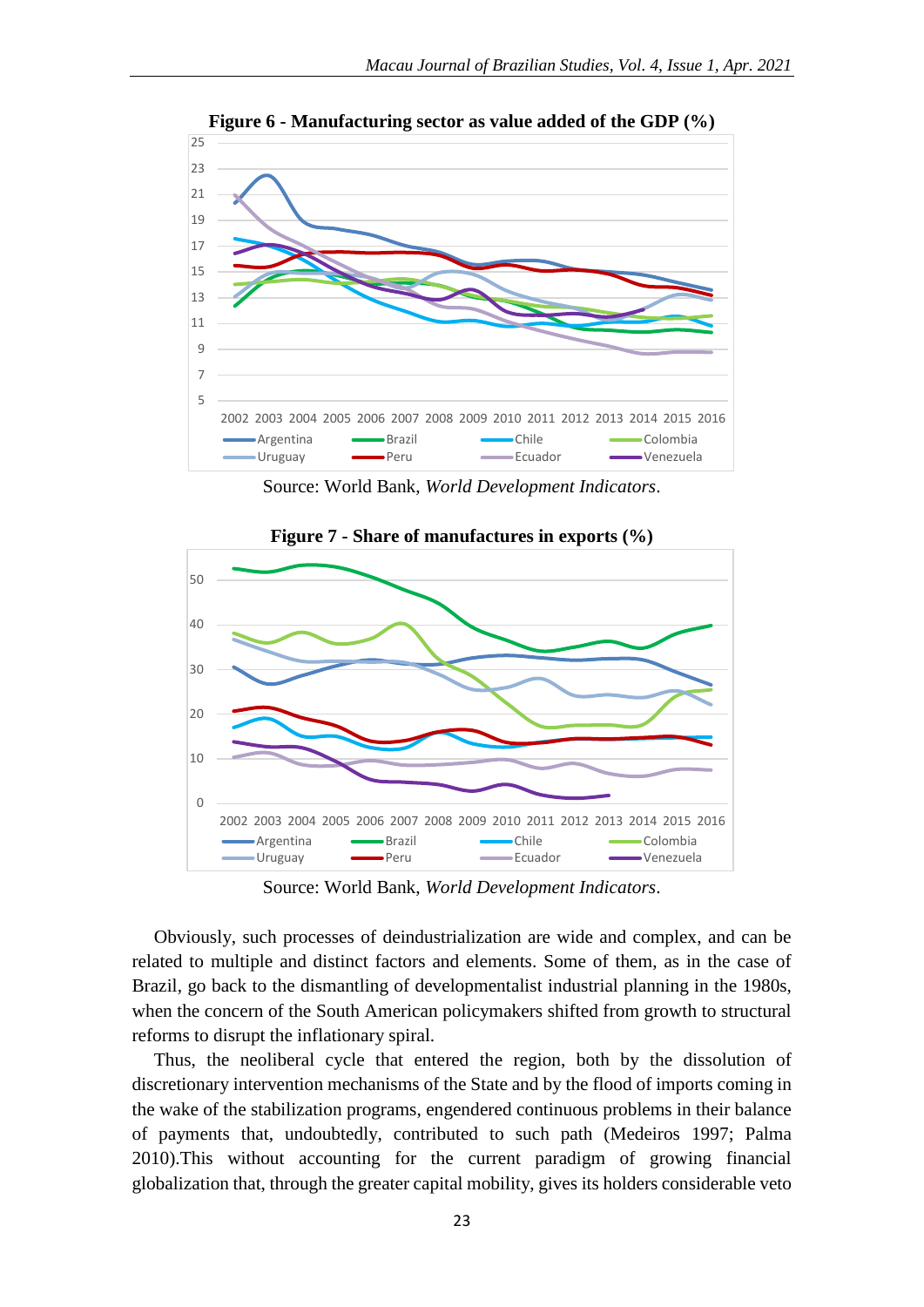

**Figure 6 - Manufacturing sector as value added of the GDP (%)**

Source: World Bank, *World Development Indicators*.



**Figure 7 - Share of manufactures in exports (%)**

Source: World Bank, *World Development Indicators*.

Obviously, such processes of deindustrialization are wide and complex, and can be related to multiple and distinct factors and elements. Some of them, as in the case of Brazil, go back to the dismantling of developmentalist industrial planning in the 1980s, when the concern of the South American policymakers shifted from growth to structural reforms to disrupt the inflationary spiral.

Thus, the neoliberal cycle that entered the region, both by the dissolution of discretionary intervention mechanisms of the State and by the flood of imports coming in the wake of the stabilization programs, engendered continuous problems in their balance of payments that, undoubtedly, contributed to such path (Medeiros 1997; Palma 2010).This without accounting for the current paradigm of growing financial globalization that, through the greater capital mobility, gives its holders considerable veto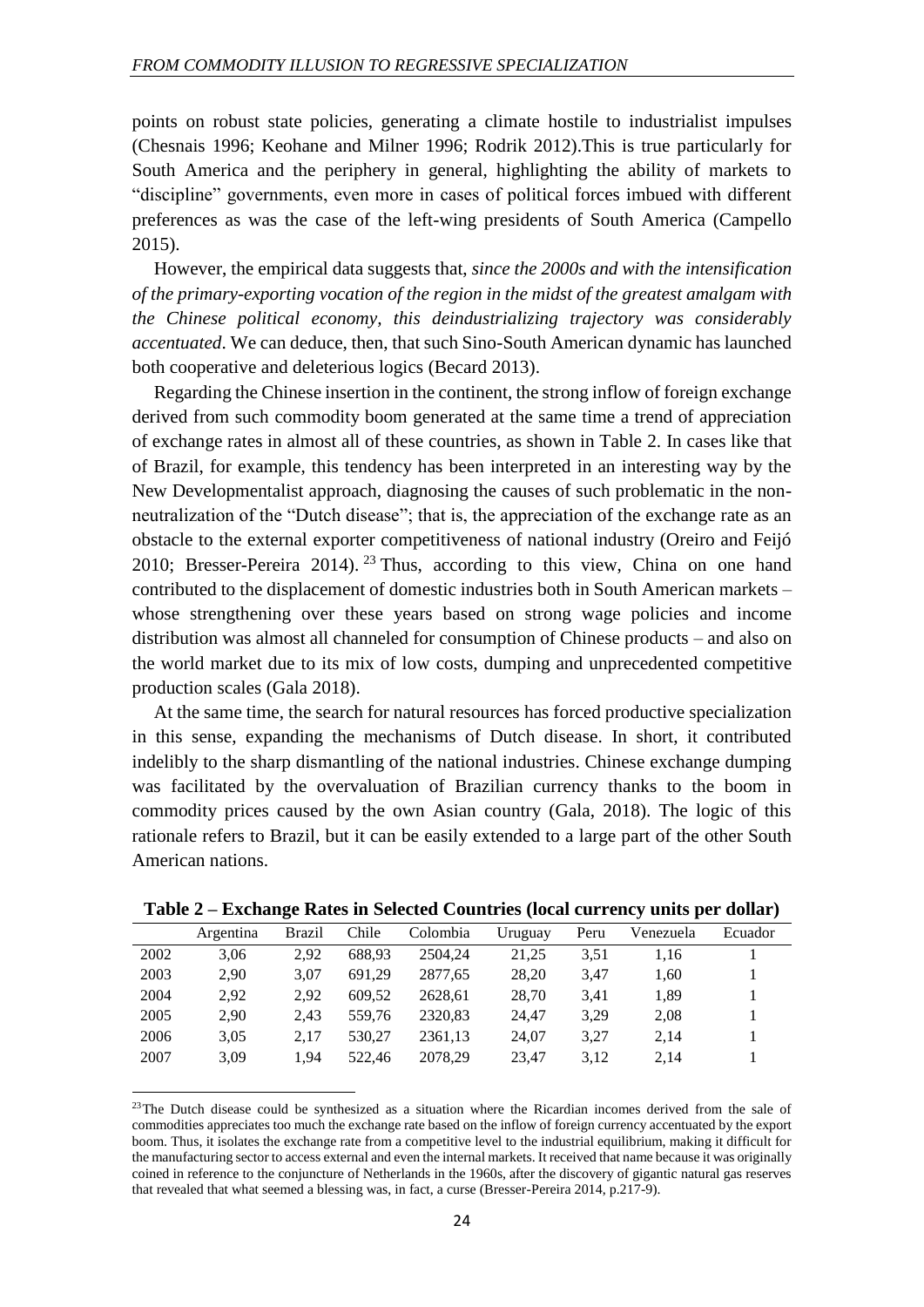points on robust state policies, generating a climate hostile to industrialist impulses (Chesnais 1996; Keohane and Milner 1996; Rodrik 2012).This is true particularly for South America and the periphery in general, highlighting the ability of markets to "discipline" governments, even more in cases of political forces imbued with different preferences as was the case of the left-wing presidents of South America (Campello 2015).

However, the empirical data suggests that, *since the 2000s and with the intensification of the primary-exporting vocation of the region in the midst of the greatest amalgam with the Chinese political economy, this deindustrializing trajectory was considerably accentuated*. We can deduce, then, that such Sino-South American dynamic has launched both cooperative and deleterious logics (Becard 2013).

Regarding the Chinese insertion in the continent, the strong inflow of foreign exchange derived from such commodity boom generated at the same time a trend of appreciation of exchange rates in almost all of these countries, as shown in Table 2. In cases like that of Brazil, for example, this tendency has been interpreted in an interesting way by the New Developmentalist approach, diagnosing the causes of such problematic in the nonneutralization of the "Dutch disease"; that is, the appreciation of the exchange rate as an obstacle to the external exporter competitiveness of national industry (Oreiro and Feijó 2010; Bresser-Pereira 2014). <sup>23</sup> Thus, according to this view, China on one hand contributed to the displacement of domestic industries both in South American markets – whose strengthening over these years based on strong wage policies and income distribution was almost all channeled for consumption of Chinese products – and also on the world market due to its mix of low costs, dumping and unprecedented competitive production scales (Gala 2018).

At the same time, the search for natural resources has forced productive specialization in this sense, expanding the mechanisms of Dutch disease. In short, it contributed indelibly to the sharp dismantling of the national industries. Chinese exchange dumping was facilitated by the overvaluation of Brazilian currency thanks to the boom in commodity prices caused by the own Asian country (Gala, 2018). The logic of this rationale refers to Brazil, but it can be easily extended to a large part of the other South American nations.

|      | Argentina | <b>Brazil</b> | Chile  | Colombia | Uruguay | Peru | Venezuela | Ecuador |
|------|-----------|---------------|--------|----------|---------|------|-----------|---------|
| 2002 | 3.06      | 2.92          | 688.93 | 2504.24  | 21.25   | 3.51 | 1.16      |         |
| 2003 | 2.90      | 3.07          | 691.29 | 2877.65  | 28.20   | 3.47 | 1.60      |         |
| 2004 | 2.92      | 2.92          | 609.52 | 2628.61  | 28.70   | 3.41 | 1,89      |         |
| 2005 | 2.90      | 2.43          | 559.76 | 2320,83  | 24.47   | 3.29 | 2,08      |         |
| 2006 | 3,05      | 2.17          | 530.27 | 2361,13  | 24.07   | 3,27 | 2,14      |         |
| 2007 | 3,09      | 1.94          | 522.46 | 2078.29  | 23.47   | 3.12 | 2.14      |         |

**Table 2 – Exchange Rates in Selected Countries (local currency units per dollar)**

<sup>&</sup>lt;sup>23</sup>The Dutch disease could be synthesized as a situation where the Ricardian incomes derived from the sale of commodities appreciates too much the exchange rate based on the inflow of foreign currency accentuated by the export boom. Thus, it isolates the exchange rate from a competitive level to the industrial equilibrium, making it difficult for the manufacturing sector to access external and even the internal markets. It received that name because it was originally coined in reference to the conjuncture of Netherlands in the 1960s, after the discovery of gigantic natural gas reserves that revealed that what seemed a blessing was, in fact, a curse (Bresser-Pereira 2014, p.217-9).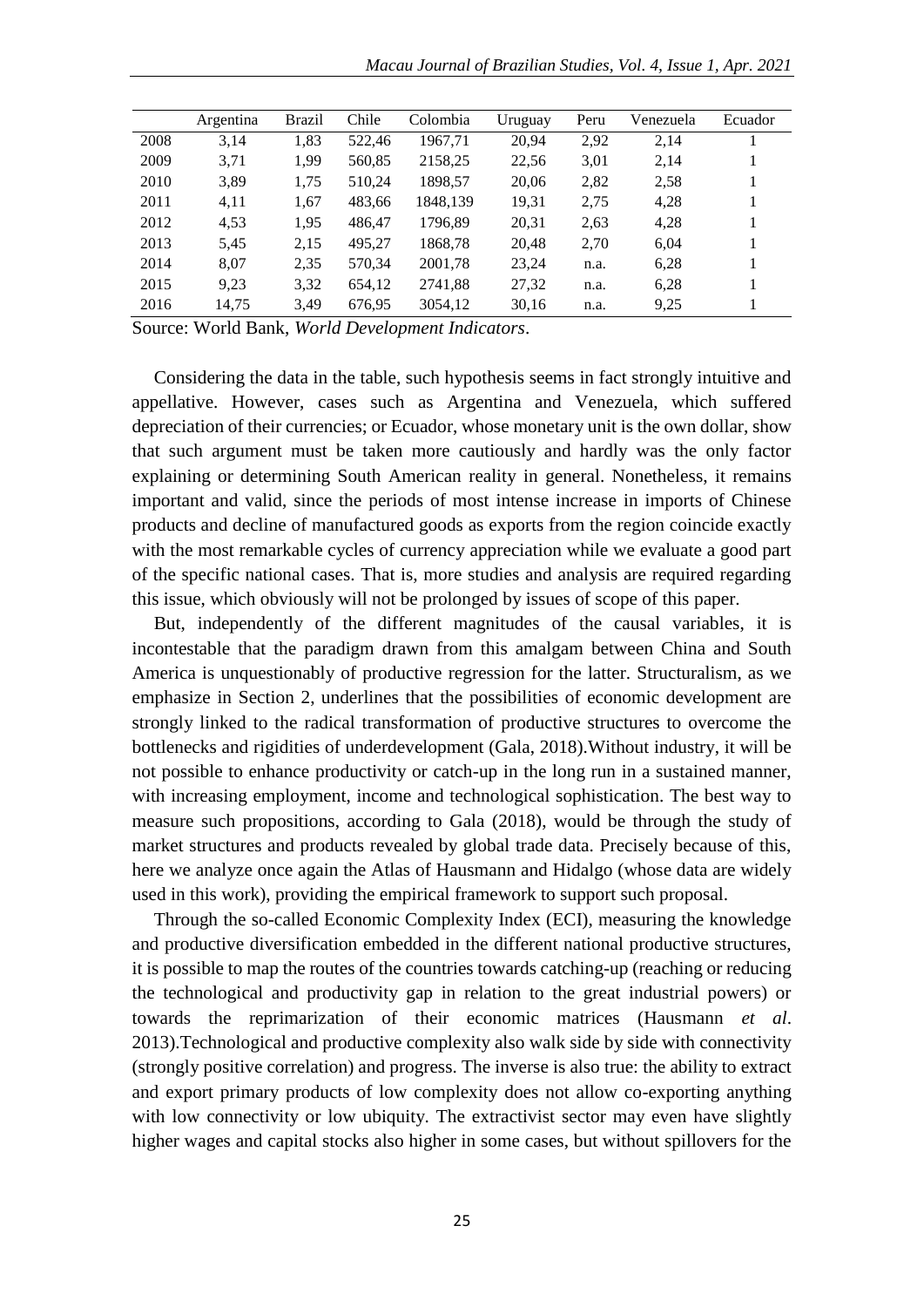|      | Argentina | Brazil | Chile  | Colombia | Uruguay | Peru | Venezuela | Ecuador |
|------|-----------|--------|--------|----------|---------|------|-----------|---------|
| 2008 | 3,14      | 1,83   | 522.46 | 1967.71  | 20,94   | 2,92 | 2,14      |         |
| 2009 | 3,71      | 1,99   | 560,85 | 2158,25  | 22,56   | 3,01 | 2,14      |         |
| 2010 | 3,89      | 1,75   | 510,24 | 1898,57  | 20,06   | 2,82 | 2,58      |         |
| 2011 | 4,11      | 1.67   | 483.66 | 1848,139 | 19,31   | 2,75 | 4,28      | 1       |
| 2012 | 4.53      | 1.95   | 486.47 | 1796.89  | 20,31   | 2.63 | 4,28      | 1       |
| 2013 | 5,45      | 2,15   | 495.27 | 1868,78  | 20,48   | 2,70 | 6,04      |         |
| 2014 | 8,07      | 2,35   | 570,34 | 2001,78  | 23,24   | n.a. | 6,28      |         |
| 2015 | 9,23      | 3,32   | 654,12 | 2741.88  | 27,32   | n.a. | 6,28      | 1       |
| 2016 | 14,75     | 3,49   | 676,95 | 3054,12  | 30,16   | n.a. | 9,25      |         |

Source: World Bank, *World Development Indicators*.

Considering the data in the table, such hypothesis seems in fact strongly intuitive and appellative. However, cases such as Argentina and Venezuela, which suffered depreciation of their currencies; or Ecuador, whose monetary unit is the own dollar, show that such argument must be taken more cautiously and hardly was the only factor explaining or determining South American reality in general. Nonetheless, it remains important and valid, since the periods of most intense increase in imports of Chinese products and decline of manufactured goods as exports from the region coincide exactly with the most remarkable cycles of currency appreciation while we evaluate a good part of the specific national cases. That is, more studies and analysis are required regarding this issue, which obviously will not be prolonged by issues of scope of this paper.

But, independently of the different magnitudes of the causal variables, it is incontestable that the paradigm drawn from this amalgam between China and South America is unquestionably of productive regression for the latter. Structuralism, as we emphasize in Section 2, underlines that the possibilities of economic development are strongly linked to the radical transformation of productive structures to overcome the bottlenecks and rigidities of underdevelopment (Gala, 2018).Without industry, it will be not possible to enhance productivity or catch-up in the long run in a sustained manner, with increasing employment, income and technological sophistication. The best way to measure such propositions, according to Gala (2018), would be through the study of market structures and products revealed by global trade data. Precisely because of this, here we analyze once again the Atlas of Hausmann and Hidalgo (whose data are widely used in this work), providing the empirical framework to support such proposal.

Through the so-called Economic Complexity Index (ECI), measuring the knowledge and productive diversification embedded in the different national productive structures, it is possible to map the routes of the countries towards catching-up (reaching or reducing the technological and productivity gap in relation to the great industrial powers) or towards the reprimarization of their economic matrices (Hausmann *et al*. 2013).Technological and productive complexity also walk side by side with connectivity (strongly positive correlation) and progress. The inverse is also true: the ability to extract and export primary products of low complexity does not allow co-exporting anything with low connectivity or low ubiquity. The extractivist sector may even have slightly higher wages and capital stocks also higher in some cases, but without spillovers for the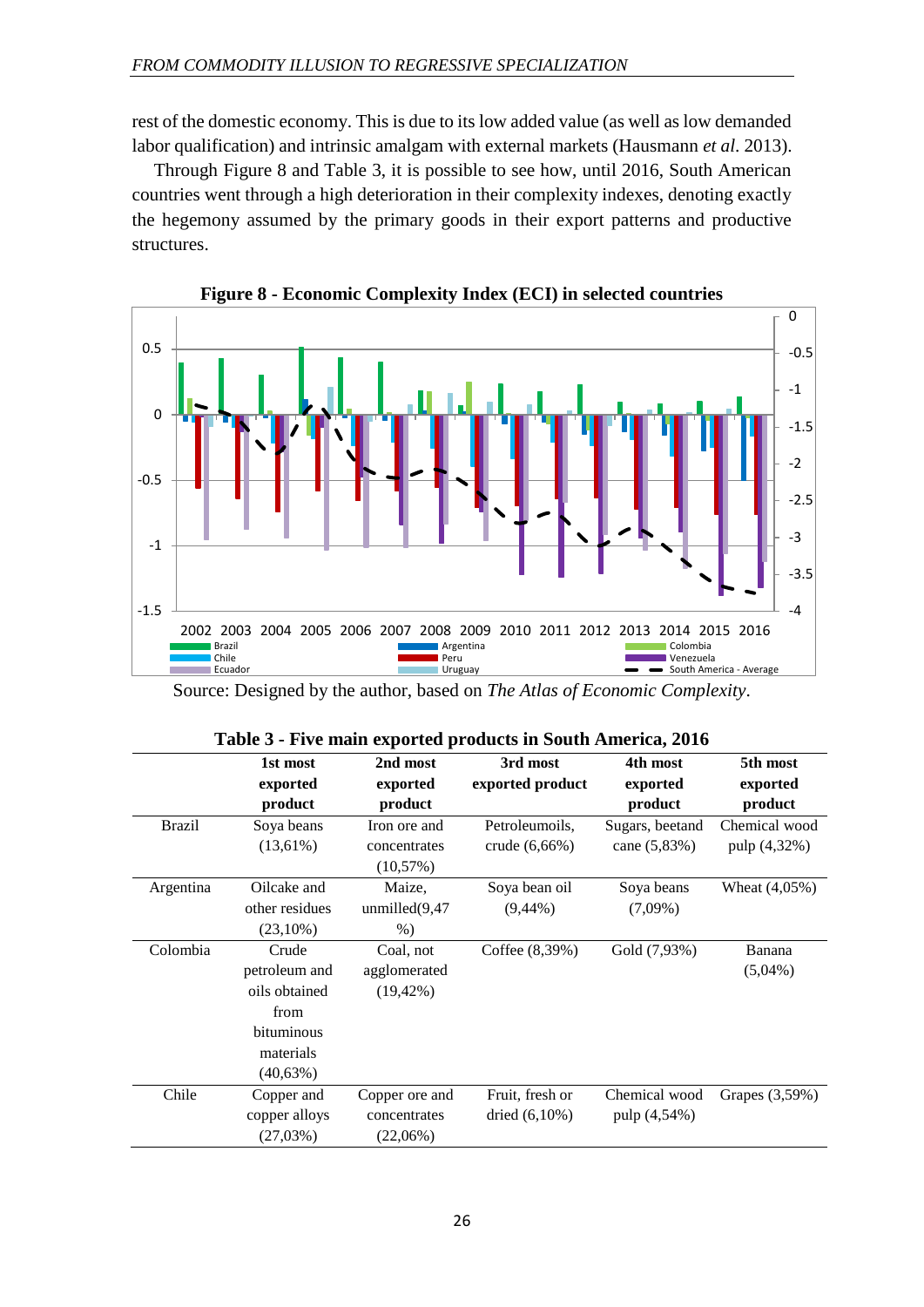rest of the domestic economy. This is due to its low added value (as well as low demanded labor qualification) and intrinsic amalgam with external markets (Hausmann *et al*. 2013).

Through Figure 8 and Table 3, it is possible to see how, until 2016, South American countries went through a high deterioration in their complexity indexes, denoting exactly the hegemony assumed by the primary goods in their export patterns and productive structures.





Source: Designed by the author, based on *The Atlas of Economic Complexity*.

|               |                |                   | Table 5 - Frye main exported products in South America, 2010 |                 |                  |
|---------------|----------------|-------------------|--------------------------------------------------------------|-----------------|------------------|
|               | 1st most       | 2nd most          | 3rd most                                                     | 4th most        | 5th most         |
|               | exported       | exported          | exported product                                             | exported        | exported         |
|               | product        | product           |                                                              | product         | product          |
| <b>Brazil</b> | Soya beans     | Iron ore and      | Petroleumoils,                                               | Sugars, beetand | Chemical wood    |
|               | $(13,61\%)$    | concentrates      | crude $(6,66\%)$                                             | cane $(5,83%)$  | pulp (4,32%)     |
|               |                | (10,57%)          |                                                              |                 |                  |
| Argentina     | Oilcake and    | Maize.            | Soya bean oil                                                | Soya beans      | Wheat $(4,05\%)$ |
|               | other residues | unmilled $(9,47)$ | $(9,44\%)$                                                   | $(7,09\%)$      |                  |
|               | $(23,10\%)$    | $\%$ )            |                                                              |                 |                  |
| Colombia      | Crude          | Coal, not         | Coffee $(8.39%)$                                             | Gold (7,93%)    | Banana           |
|               | petroleum and  | agglomerated      |                                                              |                 | $(5,04\%)$       |
|               | oils obtained  | $(19, 42\%)$      |                                                              |                 |                  |
|               | from           |                   |                                                              |                 |                  |
|               | bituminous     |                   |                                                              |                 |                  |
|               | materials      |                   |                                                              |                 |                  |
|               | $(40,63\%)$    |                   |                                                              |                 |                  |
| Chile         | Copper and     | Copper ore and    | Fruit, fresh or                                              | Chemical wood   | Grapes (3,59%)   |
|               | copper alloys  | concentrates      | dried $(6,10\%)$                                             | pulp (4,54%)    |                  |
|               | $(27,03\%)$    | $(22,06\%)$       |                                                              |                 |                  |

|  |  |  |  | Table 3 - Five main exported products in South America, 2016 |  |  |  |
|--|--|--|--|--------------------------------------------------------------|--|--|--|
|--|--|--|--|--------------------------------------------------------------|--|--|--|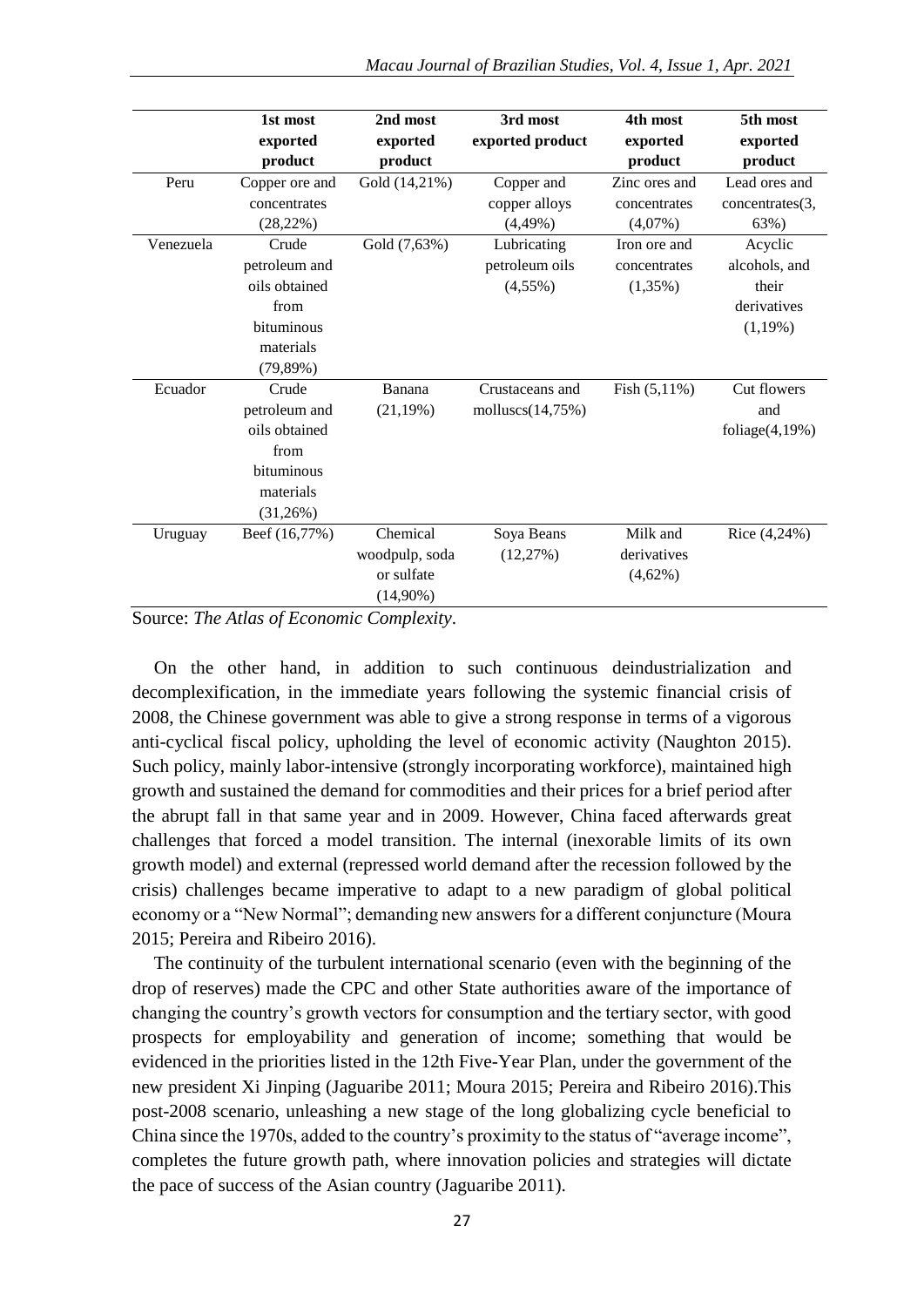|           | 1st most       | 2nd most       | 3rd most            | 4th most        | 5th most           |
|-----------|----------------|----------------|---------------------|-----------------|--------------------|
|           | exported       | exported       | exported product    | exported        | exported           |
|           | product        | product        |                     | product         | product            |
| Peru      | Copper ore and | Gold (14,21%)  | Copper and          | Zinc ores and   | Lead ores and      |
|           | concentrates   |                | copper alloys       | concentrates    | concentrates(3,    |
|           | $(28, 22\%)$   |                | $(4,49\%)$          | $(4,07\%)$      | 63%)               |
| Venezuela | Crude          | Gold (7,63%)   | Lubricating         | Iron ore and    | Acyclic            |
|           | petroleum and  |                | petroleum oils      | concentrates    | alcohols, and      |
|           | oils obtained  |                | $(4,55\%)$          | $(1,35\%)$      | their              |
|           | from           |                |                     |                 | derivatives        |
|           | bituminous     |                |                     |                 | $(1,19\%)$         |
|           | materials      |                |                     |                 |                    |
|           | $(79,89\%)$    |                |                     |                 |                    |
| Ecuador   | Crude          | Banana         | Crustaceans and     | Fish $(5,11\%)$ | Cut flowers        |
|           | petroleum and  | $(21,19\%)$    | molluscs $(14,75%)$ |                 | and                |
|           | oils obtained  |                |                     |                 | foliage $(4,19\%)$ |
|           | from           |                |                     |                 |                    |
|           | bituminous     |                |                     |                 |                    |
|           | materials      |                |                     |                 |                    |
|           | (31,26%)       |                |                     |                 |                    |
| Uruguay   | Beef (16,77%)  | Chemical       | Soya Beans          | Milk and        | Rice $(4,24\%)$    |
|           |                | woodpulp, soda | (12,27%)            | derivatives     |                    |
|           |                | or sulfate     |                     | $(4,62\%)$      |                    |
|           |                | $(14,90\%)$    |                     |                 |                    |

Source: *The Atlas of Economic Complexity*.

On the other hand, in addition to such continuous deindustrialization and decomplexification, in the immediate years following the systemic financial crisis of 2008, the Chinese government was able to give a strong response in terms of a vigorous anti-cyclical fiscal policy, upholding the level of economic activity (Naughton 2015). Such policy, mainly labor-intensive (strongly incorporating workforce), maintained high growth and sustained the demand for commodities and their prices for a brief period after the abrupt fall in that same year and in 2009. However, China faced afterwards great challenges that forced a model transition. The internal (inexorable limits of its own growth model) and external (repressed world demand after the recession followed by the crisis) challenges became imperative to adapt to a new paradigm of global political economy or a "New Normal"; demanding new answers for a different conjuncture (Moura 2015; Pereira and Ribeiro 2016).

The continuity of the turbulent international scenario (even with the beginning of the drop of reserves) made the CPC and other State authorities aware of the importance of changing the country's growth vectors for consumption and the tertiary sector, with good prospects for employability and generation of income; something that would be evidenced in the priorities listed in the 12th Five-Year Plan, under the government of the new president Xi Jinping (Jaguaribe 2011; Moura 2015; Pereira and Ribeiro 2016).This post-2008 scenario, unleashing a new stage of the long globalizing cycle beneficial to China since the 1970s, added to the country's proximity to the status of "average income", completes the future growth path, where innovation policies and strategies will dictate the pace of success of the Asian country (Jaguaribe 2011).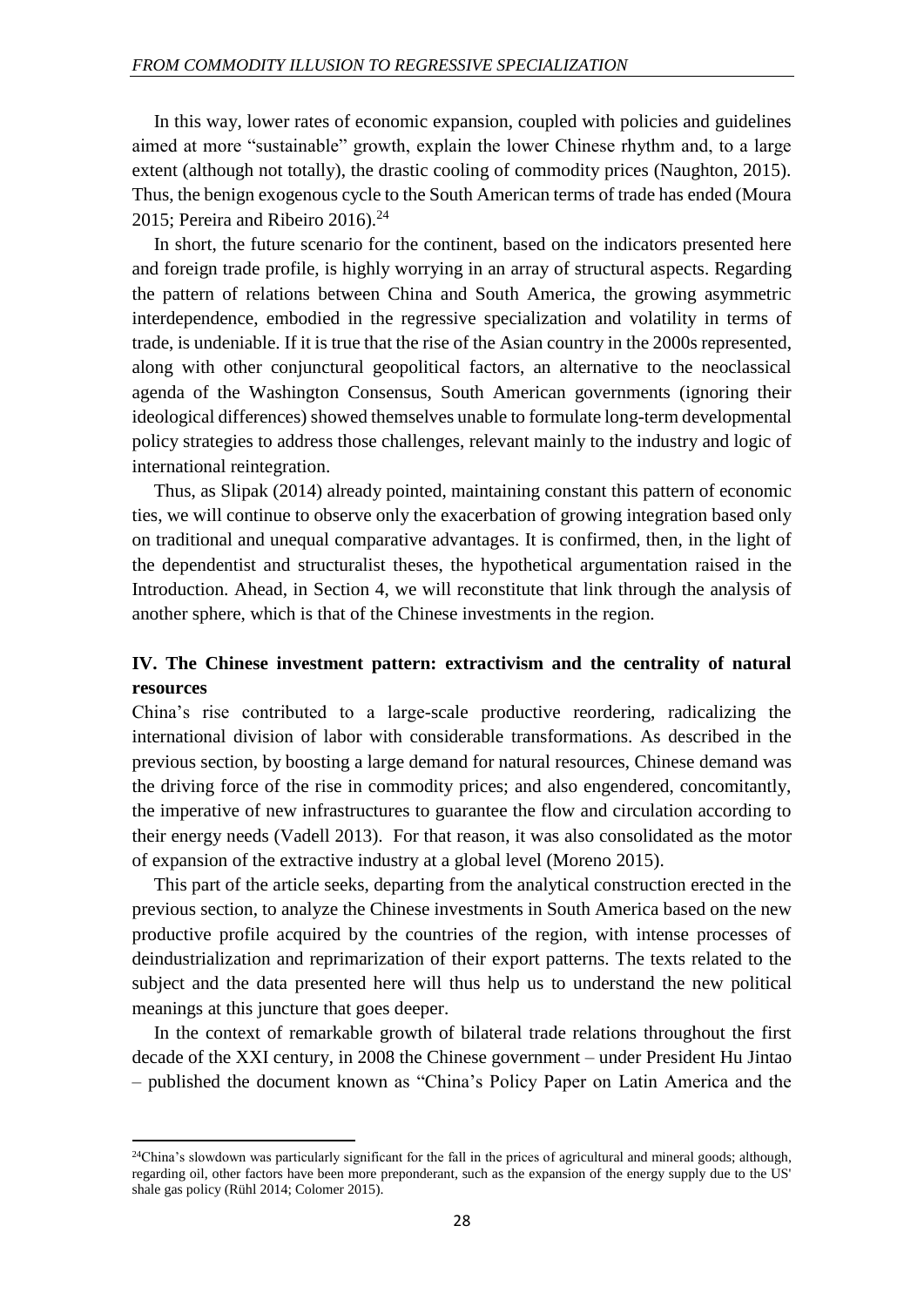In this way, lower rates of economic expansion, coupled with policies and guidelines aimed at more "sustainable" growth, explain the lower Chinese rhythm and, to a large extent (although not totally), the drastic cooling of commodity prices (Naughton, 2015). Thus, the benign exogenous cycle to the South American terms of trade has ended (Moura 2015; Pereira and Ribeiro 2016).<sup>24</sup>

In short, the future scenario for the continent, based on the indicators presented here and foreign trade profile, is highly worrying in an array of structural aspects. Regarding the pattern of relations between China and South America, the growing asymmetric interdependence, embodied in the regressive specialization and volatility in terms of trade, is undeniable. If it is true that the rise of the Asian country in the 2000s represented, along with other conjunctural geopolitical factors, an alternative to the neoclassical agenda of the Washington Consensus, South American governments (ignoring their ideological differences) showed themselves unable to formulate long-term developmental policy strategies to address those challenges, relevant mainly to the industry and logic of international reintegration.

Thus, as Slipak (2014) already pointed, maintaining constant this pattern of economic ties, we will continue to observe only the exacerbation of growing integration based only on traditional and unequal comparative advantages. It is confirmed, then, in the light of the dependentist and structuralist theses, the hypothetical argumentation raised in the Introduction. Ahead, in Section 4, we will reconstitute that link through the analysis of another sphere, which is that of the Chinese investments in the region.

### **IV. The Chinese investment pattern: extractivism and the centrality of natural resources**

China's rise contributed to a large-scale productive reordering, radicalizing the international division of labor with considerable transformations. As described in the previous section, by boosting a large demand for natural resources, Chinese demand was the driving force of the rise in commodity prices; and also engendered, concomitantly, the imperative of new infrastructures to guarantee the flow and circulation according to their energy needs (Vadell 2013). For that reason, it was also consolidated as the motor of expansion of the extractive industry at a global level (Moreno 2015).

This part of the article seeks, departing from the analytical construction erected in the previous section, to analyze the Chinese investments in South America based on the new productive profile acquired by the countries of the region, with intense processes of deindustrialization and reprimarization of their export patterns. The texts related to the subject and the data presented here will thus help us to understand the new political meanings at this juncture that goes deeper.

In the context of remarkable growth of bilateral trade relations throughout the first decade of the XXI century, in 2008 the Chinese government – under President Hu Jintao – published the document known as "China's Policy Paper on Latin America and the

 $24$ China's slowdown was particularly significant for the fall in the prices of agricultural and mineral goods; although, regarding oil, other factors have been more preponderant, such as the expansion of the energy supply due to the US' shale gas policy (Rühl 2014; Colomer 2015).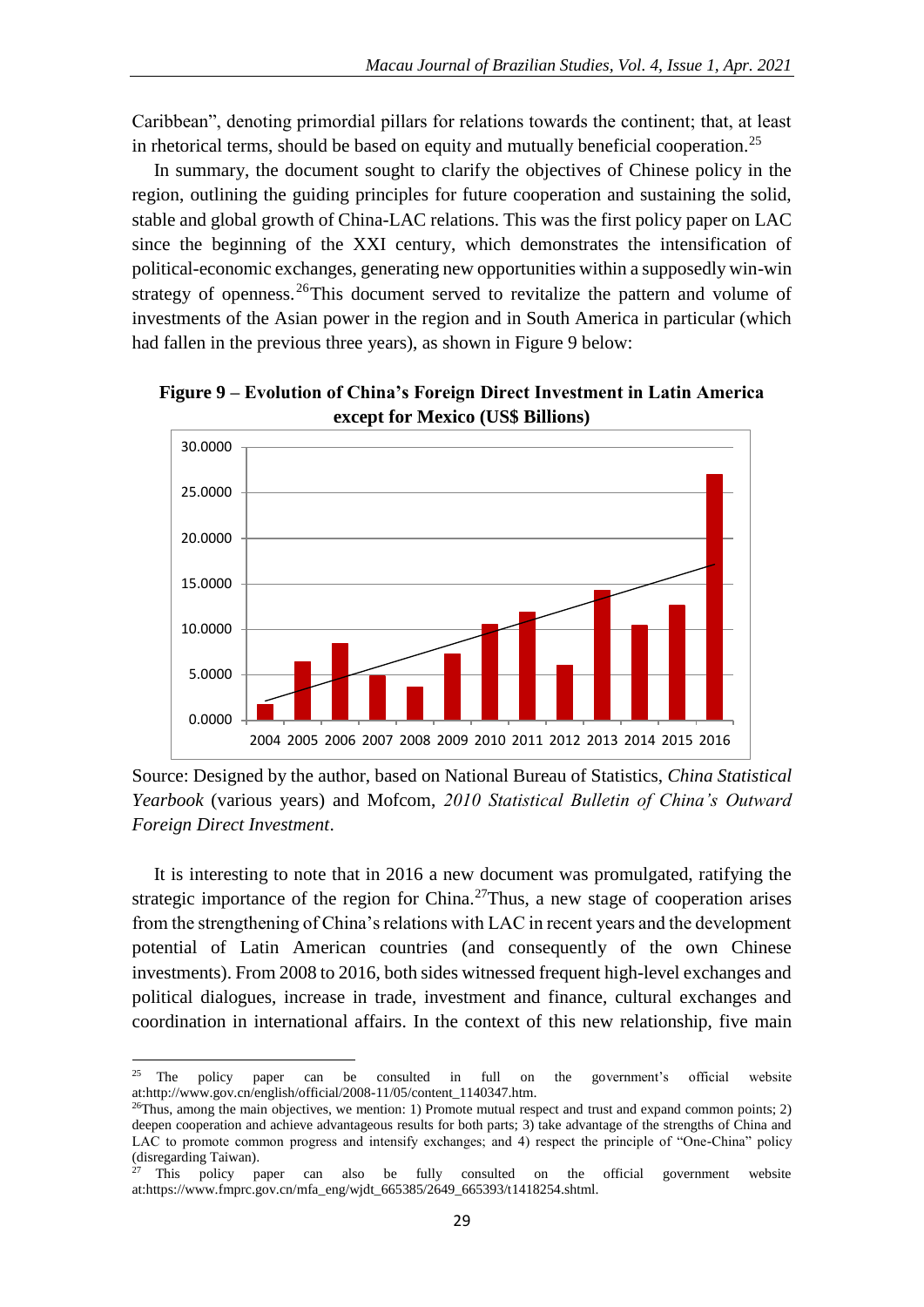Caribbean", denoting primordial pillars for relations towards the continent; that, at least in rhetorical terms, should be based on equity and mutually beneficial cooperation.<sup>25</sup>

In summary, the document sought to clarify the objectives of Chinese policy in the region, outlining the guiding principles for future cooperation and sustaining the solid, stable and global growth of China-LAC relations. This was the first policy paper on LAC since the beginning of the XXI century, which demonstrates the intensification of political-economic exchanges, generating new opportunities within a supposedly win-win strategy of openness.<sup>26</sup>This document served to revitalize the pattern and volume of investments of the Asian power in the region and in South America in particular (which had fallen in the previous three years), as shown in Figure 9 below:



**Figure 9 – Evolution of China's Foreign Direct Investment in Latin America except for Mexico (US\$ Billions)**

Source: Designed by the author, based on National Bureau of Statistics, *China Statistical Yearbook* (various years) and Mofcom, *2010 Statistical Bulletin of China's Outward Foreign Direct Investment*.

It is interesting to note that in 2016 a new document was promulgated, ratifying the strategic importance of the region for China.<sup>27</sup>Thus, a new stage of cooperation arises from the strengthening of China's relations with LAC in recent years and the development potential of Latin American countries (and consequently of the own Chinese investments). From 2008 to 2016, both sides witnessed frequent high-level exchanges and political dialogues, increase in trade, investment and finance, cultural exchanges and coordination in international affairs. In the context of this new relationship, five main

**<sup>.</sup>** <sup>25</sup> The policy paper can be consulted in full on the government's official website at:http://www.gov.cn/english/official/2008-11/05/content\_1140347.htm.

<sup>&</sup>lt;sup>26</sup>Thus, among the main objectives, we mention: 1) Promote mutual respect and trust and expand common points; 2) deepen cooperation and achieve advantageous results for both parts; 3) take advantage of the strengths of China and LAC to promote common progress and intensify exchanges; and 4) respect the principle of "One-China" policy (disregarding Taiwan).

<sup>&</sup>lt;sup>27</sup> This policy paper can also be fully consulted on the official government website at:https://www.fmprc.gov.cn/mfa\_eng/wjdt\_665385/2649\_665393/t1418254.shtml.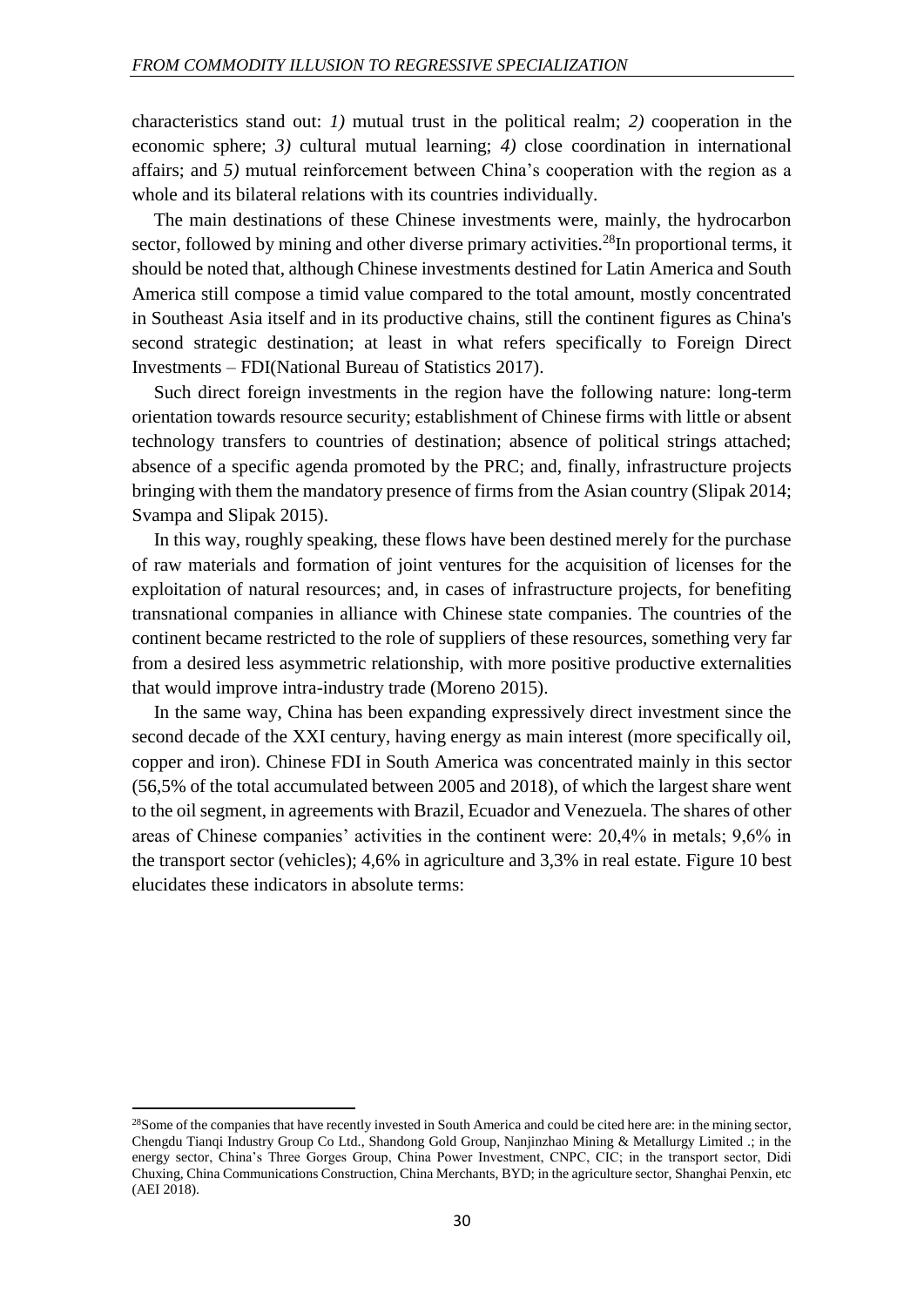characteristics stand out: *1)* mutual trust in the political realm; *2)* cooperation in the economic sphere; *3)* cultural mutual learning; *4)* close coordination in international affairs; and *5)* mutual reinforcement between China's cooperation with the region as a whole and its bilateral relations with its countries individually.

The main destinations of these Chinese investments were, mainly, the hydrocarbon sector, followed by mining and other diverse primary activities.<sup>28</sup>In proportional terms, it should be noted that, although Chinese investments destined for Latin America and South America still compose a timid value compared to the total amount, mostly concentrated in Southeast Asia itself and in its productive chains, still the continent figures as China's second strategic destination; at least in what refers specifically to Foreign Direct Investments – FDI(National Bureau of Statistics 2017).

Such direct foreign investments in the region have the following nature: long-term orientation towards resource security; establishment of Chinese firms with little or absent technology transfers to countries of destination; absence of political strings attached; absence of a specific agenda promoted by the PRC; and, finally, infrastructure projects bringing with them the mandatory presence of firms from the Asian country (Slipak 2014; Svampa and Slipak 2015).

In this way, roughly speaking, these flows have been destined merely for the purchase of raw materials and formation of joint ventures for the acquisition of licenses for the exploitation of natural resources; and, in cases of infrastructure projects, for benefiting transnational companies in alliance with Chinese state companies. The countries of the continent became restricted to the role of suppliers of these resources, something very far from a desired less asymmetric relationship, with more positive productive externalities that would improve intra-industry trade (Moreno 2015).

In the same way, China has been expanding expressively direct investment since the second decade of the XXI century, having energy as main interest (more specifically oil, copper and iron). Chinese FDI in South America was concentrated mainly in this sector (56,5% of the total accumulated between 2005 and 2018), of which the largest share went to the oil segment, in agreements with Brazil, Ecuador and Venezuela. The shares of other areas of Chinese companies' activities in the continent were: 20,4% in metals; 9,6% in the transport sector (vehicles); 4,6% in agriculture and 3,3% in real estate. Figure 10 best elucidates these indicators in absolute terms:

 $28$ Some of the companies that have recently invested in South America and could be cited here are: in the mining sector, Chengdu Tianqi Industry Group Co Ltd., Shandong Gold Group, Nanjinzhao Mining & Metallurgy Limited .; in the energy sector, China's Three Gorges Group, China Power Investment, CNPC, CIC; in the transport sector, Didi Chuxing, China Communications Construction, China Merchants, BYD; in the agriculture sector, Shanghai Penxin, etc (AEI 2018).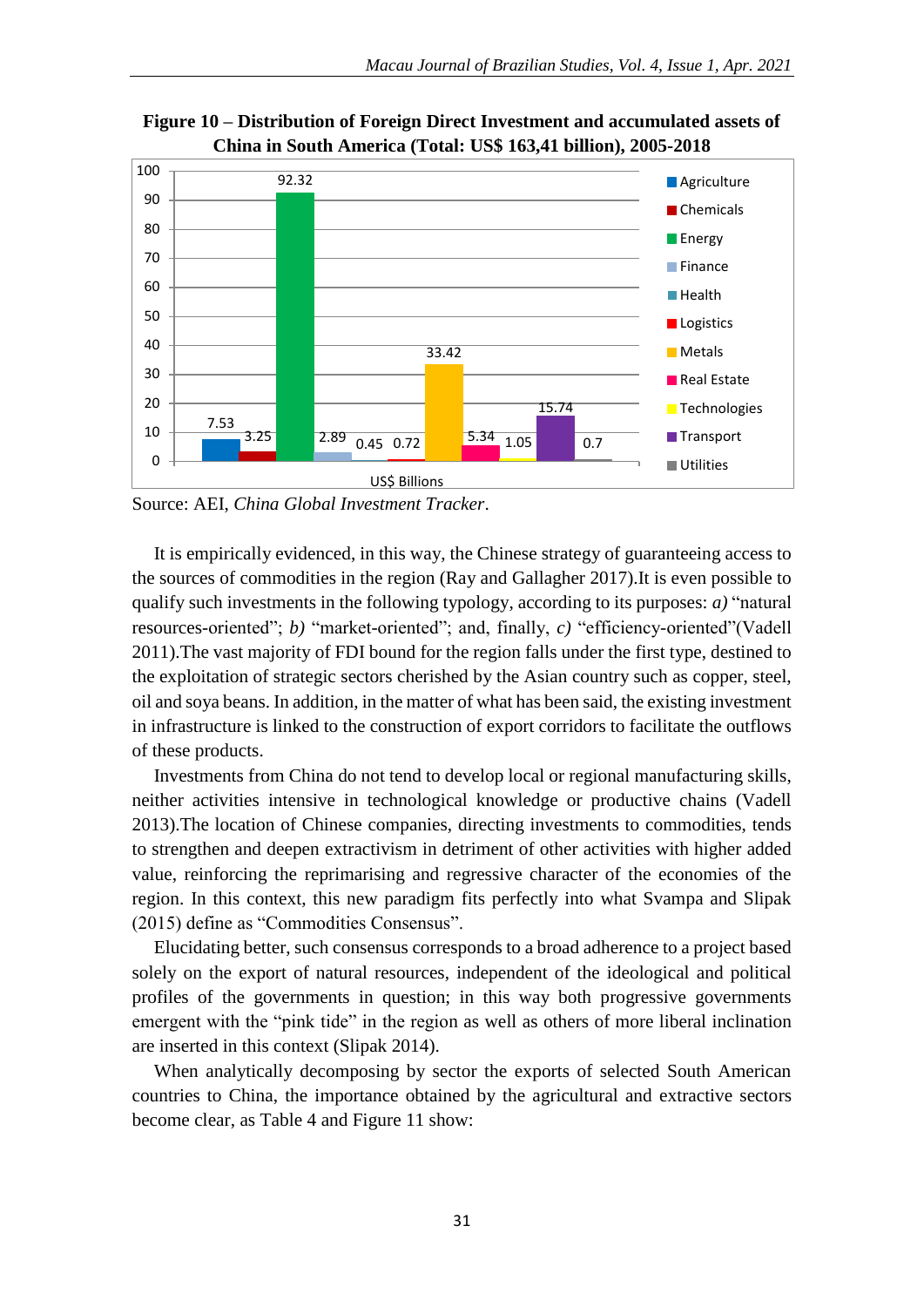

**Figure 10 – Distribution of Foreign Direct Investment and accumulated assets of China in South America (Total: US\$ 163,41 billion), 2005-2018**

Source: AEI, *China Global Investment Tracker*.

It is empirically evidenced, in this way, the Chinese strategy of guaranteeing access to the sources of commodities in the region (Ray and Gallagher 2017).It is even possible to qualify such investments in the following typology, according to its purposes: *a)* "natural resources-oriented"; *b)* "market-oriented"; and, finally, *c)* "efficiency-oriented"(Vadell 2011).The vast majority of FDI bound for the region falls under the first type, destined to the exploitation of strategic sectors cherished by the Asian country such as copper, steel, oil and soya beans. In addition, in the matter of what has been said, the existing investment in infrastructure is linked to the construction of export corridors to facilitate the outflows of these products.

Investments from China do not tend to develop local or regional manufacturing skills, neither activities intensive in technological knowledge or productive chains (Vadell 2013).The location of Chinese companies, directing investments to commodities, tends to strengthen and deepen extractivism in detriment of other activities with higher added value, reinforcing the reprimarising and regressive character of the economies of the region. In this context, this new paradigm fits perfectly into what Svampa and Slipak (2015) define as "Commodities Consensus".

Elucidating better, such consensus corresponds to a broad adherence to a project based solely on the export of natural resources, independent of the ideological and political profiles of the governments in question; in this way both progressive governments emergent with the "pink tide" in the region as well as others of more liberal inclination are inserted in this context (Slipak 2014).

When analytically decomposing by sector the exports of selected South American countries to China, the importance obtained by the agricultural and extractive sectors become clear, as Table 4 and Figure 11 show: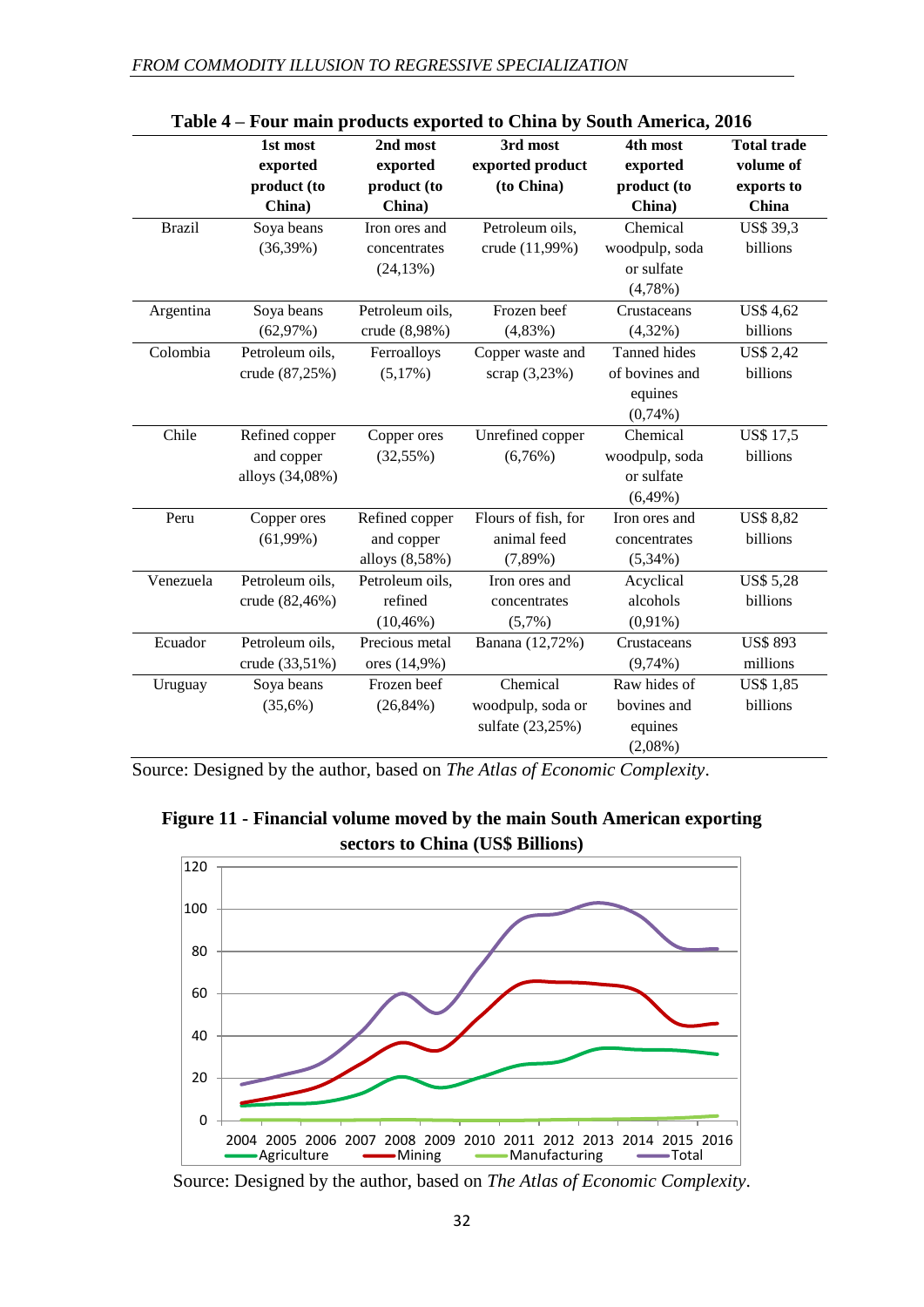|               | 1st most        | 2nd most        | 3rd most            | 4th most            | <b>Total trade</b> |
|---------------|-----------------|-----------------|---------------------|---------------------|--------------------|
|               | exported        | exported        | exported product    | exported            | volume of          |
|               | product (to     | product (to     | (to China)          | product (to         | exports to         |
|               | China)          | China)          |                     | China)              | China              |
| <b>Brazil</b> | Soya beans      | Iron ores and   | Petroleum oils,     | Chemical            | <b>US\$ 39,3</b>   |
|               | $(36,39\%)$     | concentrates    | crude (11,99%)      | woodpulp, soda      | billions           |
|               |                 | $(24, 13\%)$    |                     | or sulfate          |                    |
|               |                 |                 |                     | $(4,78\%)$          |                    |
| Argentina     | Soya beans      | Petroleum oils, | Frozen beef         | Crustaceans         | <b>US\$ 4,62</b>   |
|               | (62,97%)        | crude (8,98%)   | $(4,83\%)$          | $(4,32\%)$          | billions           |
| Colombia      | Petroleum oils, | Ferroalloys     | Copper waste and    | <b>Tanned hides</b> | <b>US\$ 2,42</b>   |
|               | crude (87,25%)  | $(5,17\%)$      | scrap (3,23%)       | of bovines and      | billions           |
|               |                 |                 |                     | equines             |                    |
|               |                 |                 |                     | $(0,74\%)$          |                    |
| Chile         | Refined copper  | Copper ores     | Unrefined copper    | Chemical            | <b>US\$17,5</b>    |
|               | and copper      | $(32,55\%)$     | (6,76%)             | woodpulp, soda      | billions           |
|               | alloys (34,08%) |                 |                     | or sulfate          |                    |
|               |                 |                 |                     | $(6,49\%)$          |                    |
| Peru          | Copper ores     | Refined copper  | Flours of fish, for | Iron ores and       | <b>US\$ 8,82</b>   |
|               | $(61,99\%)$     | and copper      | animal feed         | concentrates        | billions           |
|               |                 | alloys (8,58%)  | $(7,89\%)$          | $(5,34\%)$          |                    |
| Venezuela     | Petroleum oils, | Petroleum oils, | Iron ores and       | Acyclical           | <b>US\$ 5,28</b>   |
|               | crude (82,46%)  | refined         | concentrates        | alcohols            | billions           |
|               |                 | $(10, 46\%)$    | $(5,7\%)$           | $(0,91\%)$          |                    |
| Ecuador       | Petroleum oils, | Precious metal  | Banana (12,72%)     | Crustaceans         | <b>US\$ 893</b>    |
|               | crude (33,51%)  | ores (14,9%)    |                     | $(9,74\%)$          | millions           |
| Uruguay       | Soya beans      | Frozen beef     | Chemical            | Raw hides of        | <b>US\$ 1,85</b>   |
|               | (35,6%)         | $(26,84\%)$     | woodpulp, soda or   | bovines and         | billions           |
|               |                 |                 | sulfate (23,25%)    | equines             |                    |
|               |                 |                 |                     | $(2,08\%)$          |                    |

| Table 4 – Four main products exported to China by South America, 2016 |
|-----------------------------------------------------------------------|
|-----------------------------------------------------------------------|

Source: Designed by the author, based on *The Atlas of Economic Complexity*.

**Figure 11 - Financial volume moved by the main South American exporting sectors to China (US\$ Billions)**



Source: Designed by the author, based on *The Atlas of Economic Complexity*.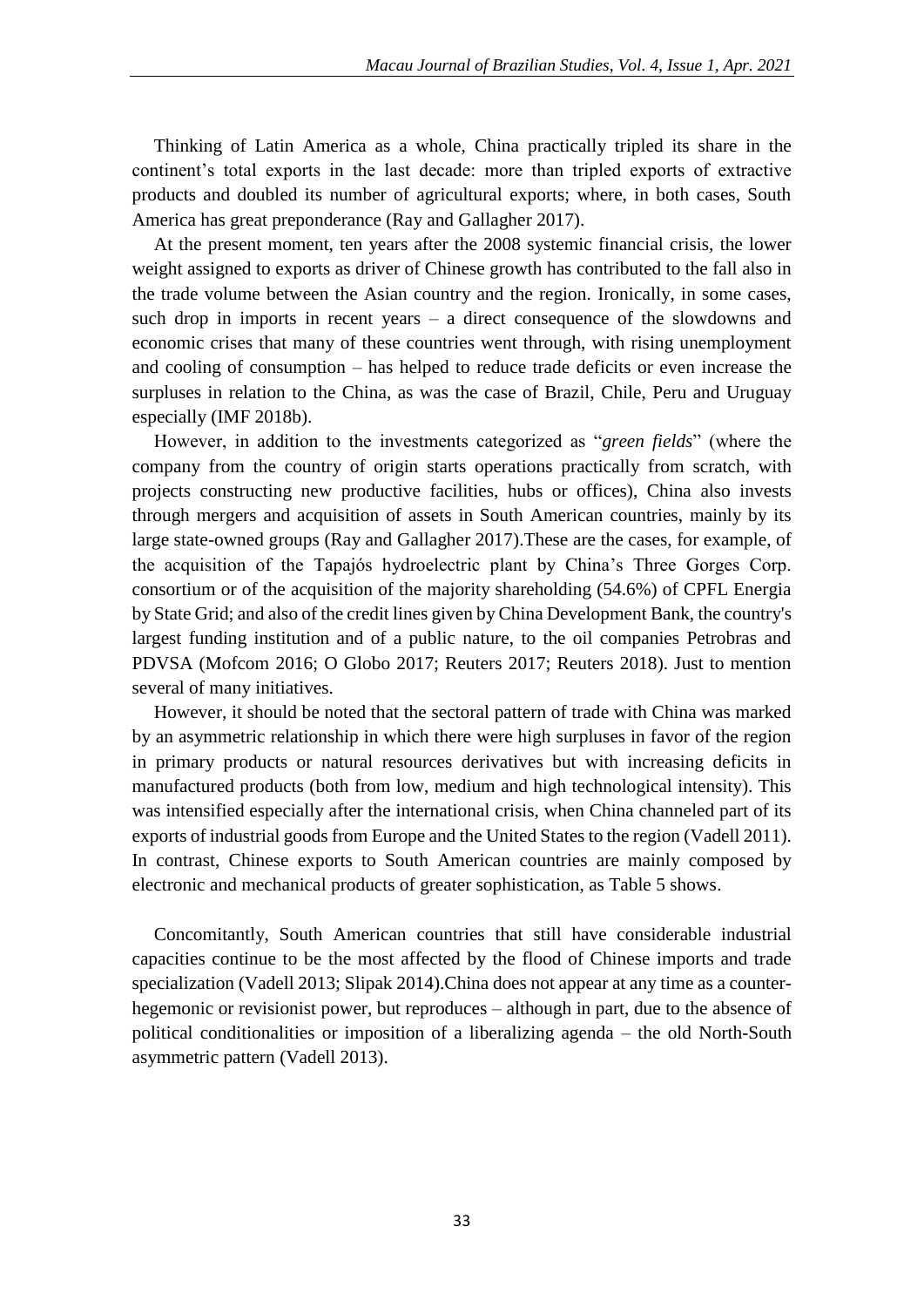Thinking of Latin America as a whole, China practically tripled its share in the continent's total exports in the last decade: more than tripled exports of extractive products and doubled its number of agricultural exports; where, in both cases, South America has great preponderance (Ray and Gallagher 2017).

At the present moment, ten years after the 2008 systemic financial crisis, the lower weight assigned to exports as driver of Chinese growth has contributed to the fall also in the trade volume between the Asian country and the region. Ironically, in some cases, such drop in imports in recent years – a direct consequence of the slowdowns and economic crises that many of these countries went through, with rising unemployment and cooling of consumption – has helped to reduce trade deficits or even increase the surpluses in relation to the China, as was the case of Brazil, Chile, Peru and Uruguay especially (IMF 2018b).

However, in addition to the investments categorized as "*green fields*" (where the company from the country of origin starts operations practically from scratch, with projects constructing new productive facilities, hubs or offices), China also invests through mergers and acquisition of assets in South American countries, mainly by its large state-owned groups (Ray and Gallagher 2017).These are the cases, for example, of the acquisition of the Tapajós hydroelectric plant by China's Three Gorges Corp. consortium or of the acquisition of the majority shareholding (54.6%) of CPFL Energia by State Grid; and also of the credit lines given by China Development Bank, the country's largest funding institution and of a public nature, to the oil companies Petrobras and PDVSA (Mofcom 2016; O Globo 2017; Reuters 2017; Reuters 2018). Just to mention several of many initiatives.

However, it should be noted that the sectoral pattern of trade with China was marked by an asymmetric relationship in which there were high surpluses in favor of the region in primary products or natural resources derivatives but with increasing deficits in manufactured products (both from low, medium and high technological intensity). This was intensified especially after the international crisis, when China channeled part of its exports of industrial goods from Europe and the United States to the region (Vadell 2011). In contrast, Chinese exports to South American countries are mainly composed by electronic and mechanical products of greater sophistication, as Table 5 shows.

Concomitantly, South American countries that still have considerable industrial capacities continue to be the most affected by the flood of Chinese imports and trade specialization (Vadell 2013; Slipak 2014).China does not appear at any time as a counterhegemonic or revisionist power, but reproduces – although in part, due to the absence of political conditionalities or imposition of a liberalizing agenda – the old North-South asymmetric pattern (Vadell 2013).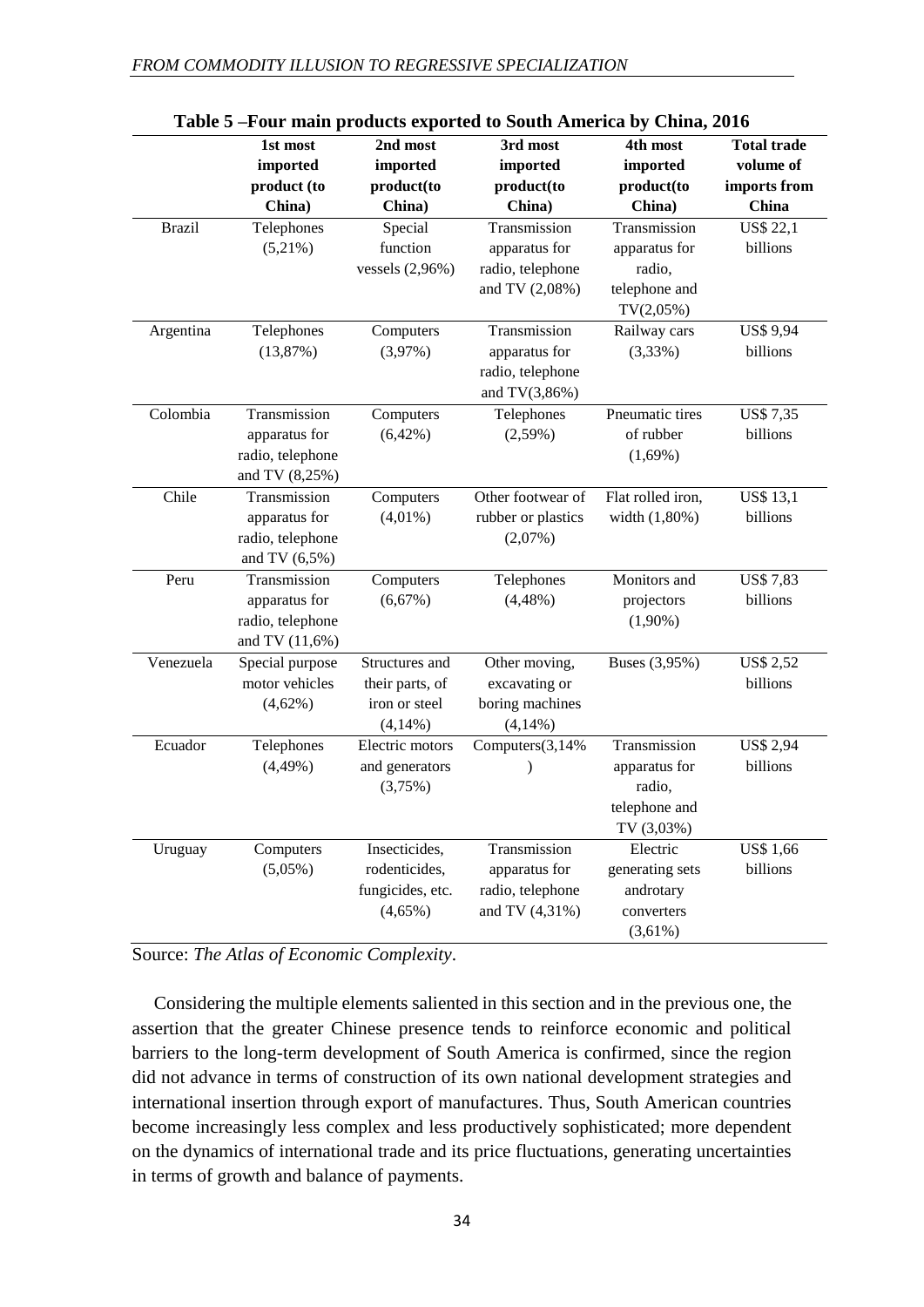|               | 1st most<br>imported<br>product (to                                   | 2nd most<br>imported<br>product(to                               | 3rd most<br>imported<br>product(to                                    | 4th most<br>imported<br>product(to                                       | <b>Total trade</b><br>volume of<br>imports from |
|---------------|-----------------------------------------------------------------------|------------------------------------------------------------------|-----------------------------------------------------------------------|--------------------------------------------------------------------------|-------------------------------------------------|
|               | China)                                                                | China)                                                           | China)                                                                | China)                                                                   | China                                           |
| <b>Brazil</b> | Telephones<br>$(5,21\%)$                                              | Special<br>function<br>vessels $(2,96\%)$                        | Transmission<br>apparatus for<br>radio, telephone<br>and TV (2,08%)   | Transmission<br>apparatus for<br>radio,<br>telephone and<br>$TV(2,05\%)$ | <b>US\$ 22,1</b><br>billions                    |
| Argentina     | Telephones<br>(13,87%)                                                | Computers<br>$(3,97\%)$                                          | Transmission<br>apparatus for<br>radio, telephone<br>and $TV(3,86\%)$ | Railway cars<br>$(3,33\%)$                                               | <b>US\$ 9,94</b><br>billions                    |
| Colombia      | Transmission<br>apparatus for<br>radio, telephone<br>and TV (8,25%)   | Computers<br>$(6,42\%)$                                          | Telephones<br>$(2,59\%)$                                              | Pneumatic tires<br>of rubber<br>$(1,69\%)$                               | <b>US\$7,35</b><br>billions                     |
| Chile         | Transmission<br>apparatus for<br>radio, telephone<br>and TV $(6,5\%)$ | Computers<br>$(4,01\%)$                                          | Other footwear of<br>rubber or plastics<br>$(2,07\%)$                 | Flat rolled iron,<br>width (1,80%)                                       | <b>US\$ 13,1</b><br>billions                    |
| Peru          | Transmission<br>apparatus for<br>radio, telephone<br>and TV (11,6%)   | Computers<br>$(6,67\%)$                                          | Telephones<br>$(4,48\%)$                                              | Monitors and<br>projectors<br>$(1,90\%)$                                 | <b>US\$7,83</b><br>billions                     |
| Venezuela     | Special purpose<br>motor vehicles<br>$(4,62\%)$                       | Structures and<br>their parts, of<br>iron or steel<br>(4,14%)    | Other moving,<br>excavating or<br>boring machines<br>(4,14%)          | Buses (3,95%)                                                            | <b>US\$ 2,52</b><br>billions                    |
| Ecuador       | Telephones<br>$(4,49\%)$                                              | Electric motors<br>and generators<br>(3,75%)                     | Computers(3,14%                                                       | Transmission<br>apparatus for<br>radio,<br>telephone and<br>TV (3,03%)   | <b>US\$ 2,94</b><br>billions                    |
| Uruguay       | Computers<br>$(5,05\%)$                                               | Insecticides,<br>rodenticides,<br>fungicides, etc.<br>$(4,65\%)$ | Transmission<br>apparatus for<br>radio, telephone<br>and TV (4,31%)   | Electric<br>generating sets<br>androtary<br>converters<br>$(3,61\%)$     | <b>US\$ 1,66</b><br>billions                    |

| Table 5-Four main products exported to South America by China, 2016 |
|---------------------------------------------------------------------|
|---------------------------------------------------------------------|

Source: *The Atlas of Economic Complexity*.

Considering the multiple elements saliented in this section and in the previous one, the assertion that the greater Chinese presence tends to reinforce economic and political barriers to the long-term development of South America is confirmed, since the region did not advance in terms of construction of its own national development strategies and international insertion through export of manufactures. Thus, South American countries become increasingly less complex and less productively sophisticated; more dependent on the dynamics of international trade and its price fluctuations, generating uncertainties in terms of growth and balance of payments.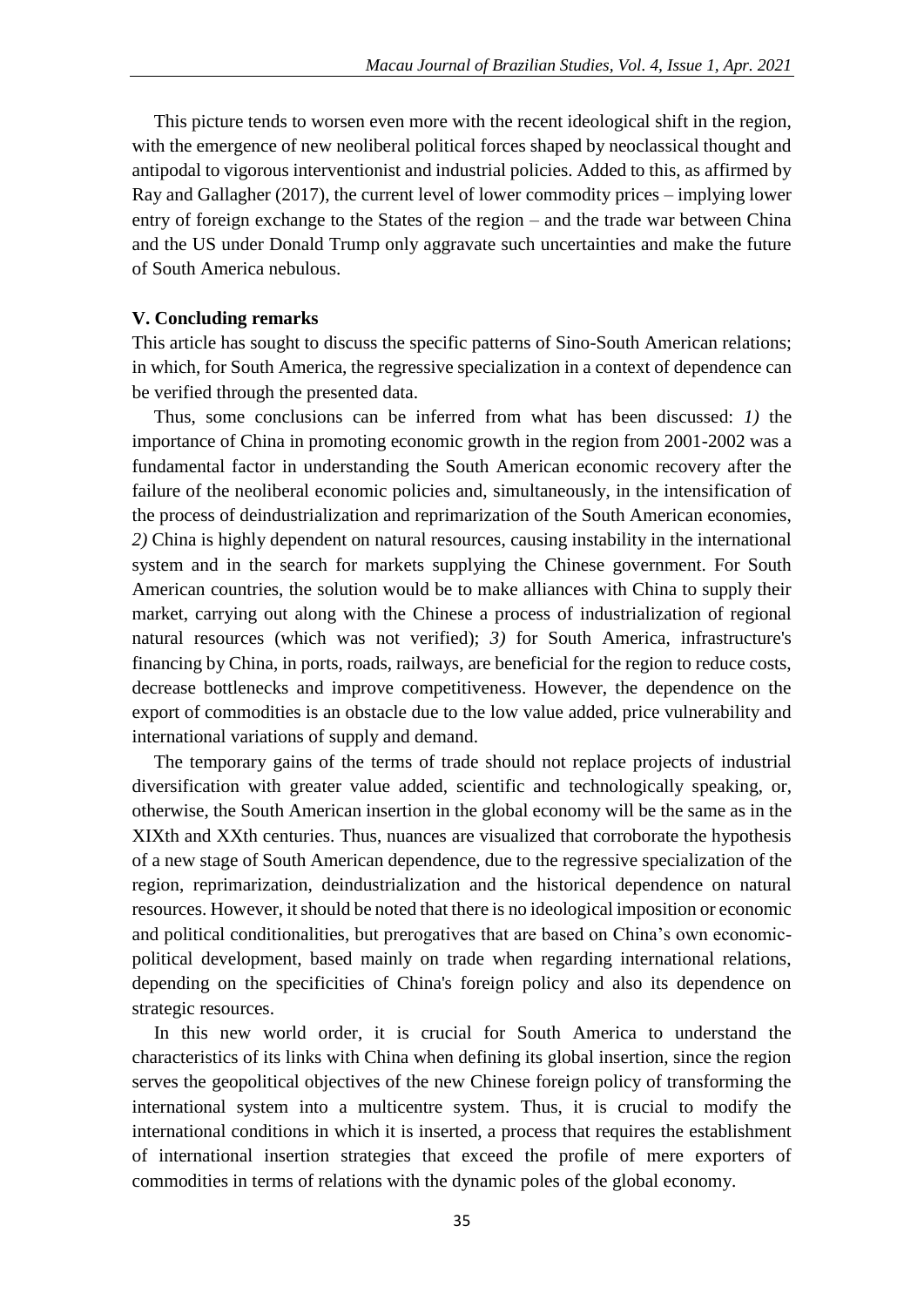This picture tends to worsen even more with the recent ideological shift in the region, with the emergence of new neoliberal political forces shaped by neoclassical thought and antipodal to vigorous interventionist and industrial policies. Added to this, as affirmed by Ray and Gallagher (2017), the current level of lower commodity prices – implying lower entry of foreign exchange to the States of the region – and the trade war between China and the US under Donald Trump only aggravate such uncertainties and make the future of South America nebulous.

#### **V. Concluding remarks**

This article has sought to discuss the specific patterns of Sino-South American relations; in which, for South America, the regressive specialization in a context of dependence can be verified through the presented data.

Thus, some conclusions can be inferred from what has been discussed: *1)* the importance of China in promoting economic growth in the region from 2001-2002 was a fundamental factor in understanding the South American economic recovery after the failure of the neoliberal economic policies and, simultaneously, in the intensification of the process of deindustrialization and reprimarization of the South American economies, *2)* China is highly dependent on natural resources, causing instability in the international system and in the search for markets supplying the Chinese government. For South American countries, the solution would be to make alliances with China to supply their market, carrying out along with the Chinese a process of industrialization of regional natural resources (which was not verified); *3)* for South America, infrastructure's financing by China, in ports, roads, railways, are beneficial for the region to reduce costs, decrease bottlenecks and improve competitiveness. However, the dependence on the export of commodities is an obstacle due to the low value added, price vulnerability and international variations of supply and demand.

The temporary gains of the terms of trade should not replace projects of industrial diversification with greater value added, scientific and technologically speaking, or, otherwise, the South American insertion in the global economy will be the same as in the XIXth and XXth centuries. Thus, nuances are visualized that corroborate the hypothesis of a new stage of South American dependence, due to the regressive specialization of the region, reprimarization, deindustrialization and the historical dependence on natural resources. However, it should be noted that there is no ideological imposition or economic and political conditionalities, but prerogatives that are based on China's own economicpolitical development, based mainly on trade when regarding international relations, depending on the specificities of China's foreign policy and also its dependence on strategic resources.

In this new world order, it is crucial for South America to understand the characteristics of its links with China when defining its global insertion, since the region serves the geopolitical objectives of the new Chinese foreign policy of transforming the international system into a multicentre system. Thus, it is crucial to modify the international conditions in which it is inserted, a process that requires the establishment of international insertion strategies that exceed the profile of mere exporters of commodities in terms of relations with the dynamic poles of the global economy.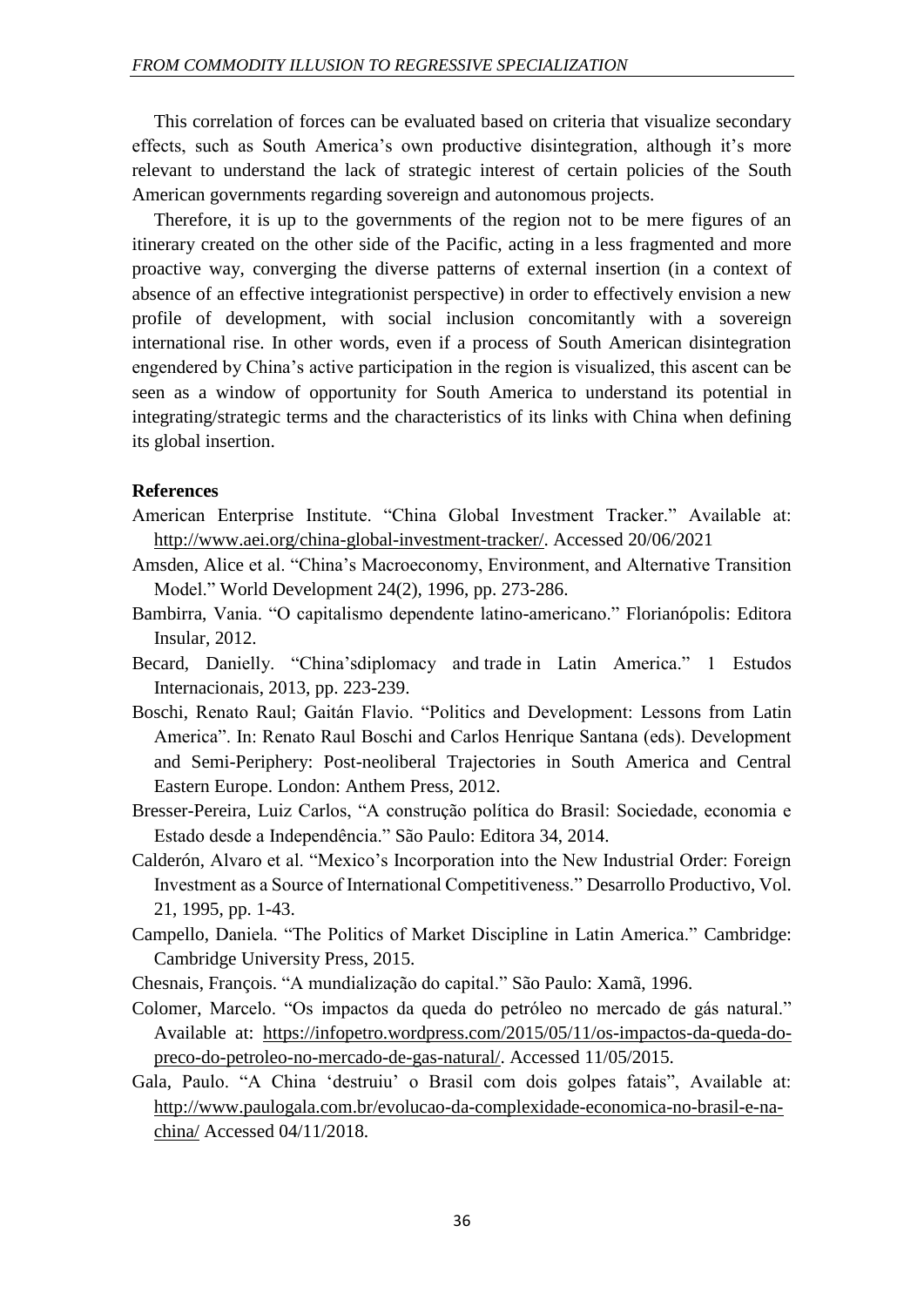This correlation of forces can be evaluated based on criteria that visualize secondary effects, such as South America's own productive disintegration, although it's more relevant to understand the lack of strategic interest of certain policies of the South American governments regarding sovereign and autonomous projects.

Therefore, it is up to the governments of the region not to be mere figures of an itinerary created on the other side of the Pacific, acting in a less fragmented and more proactive way, converging the diverse patterns of external insertion (in a context of absence of an effective integrationist perspective) in order to effectively envision a new profile of development, with social inclusion concomitantly with a sovereign international rise. In other words, even if a process of South American disintegration engendered by China's active participation in the region is visualized, this ascent can be seen as a window of opportunity for South America to understand its potential in integrating/strategic terms and the characteristics of its links with China when defining its global insertion.

#### **References**

- American Enterprise Institute. "China Global Investment Tracker." Available at: http://www.aei.org/china-global-investment-tracker/. Accessed 20/06/2021
- Amsden, Alice et al. "China's Macroeconomy, Environment, and Alternative Transition Model." World Development 24(2), 1996, pp. 273-286.
- Bambirra, Vania. "O capitalismo dependente latino-americano." Florianópolis: Editora Insular, 2012.
- Becard, Danielly. "China'sdiplomacy and trade in Latin America." 1 Estudos Internacionais, 2013, pp. 223-239.
- Boschi, Renato Raul; Gaitán Flavio. "Politics and Development: Lessons from Latin America". In: Renato Raul Boschi and Carlos Henrique Santana (eds). Development and Semi-Periphery: Post-neoliberal Trajectories in South America and Central Eastern Europe. London: Anthem Press, 2012.
- Bresser-Pereira, Luiz Carlos, "A construção política do Brasil: Sociedade, economia e Estado desde a Independência." São Paulo: Editora 34, 2014.
- Calderón, Alvaro et al. "Mexico's Incorporation into the New Industrial Order: Foreign Investment as a Source of International Competitiveness." Desarrollo Productivo, Vol. 21, 1995, pp. 1-43.
- Campello, Daniela. "The Politics of Market Discipline in Latin America." Cambridge: Cambridge University Press, 2015.
- Chesnais, François. "A mundialização do capital." São Paulo: Xamã, 1996.
- Colomer, Marcelo. "Os impactos da queda do petróleo no mercado de gás natural." Available at: https://infopetro.wordpress.com/2015/05/11/os-impactos-da-queda-dopreco-do-petroleo-no-mercado-de-gas-natural/. Accessed 11/05/2015.
- Gala, Paulo. "A China 'destruiu' o Brasil com dois golpes fatais", Available at: http://www.paulogala.com.br/evolucao-da-complexidade-economica-no-brasil-e-nachina/ Accessed 04/11/2018.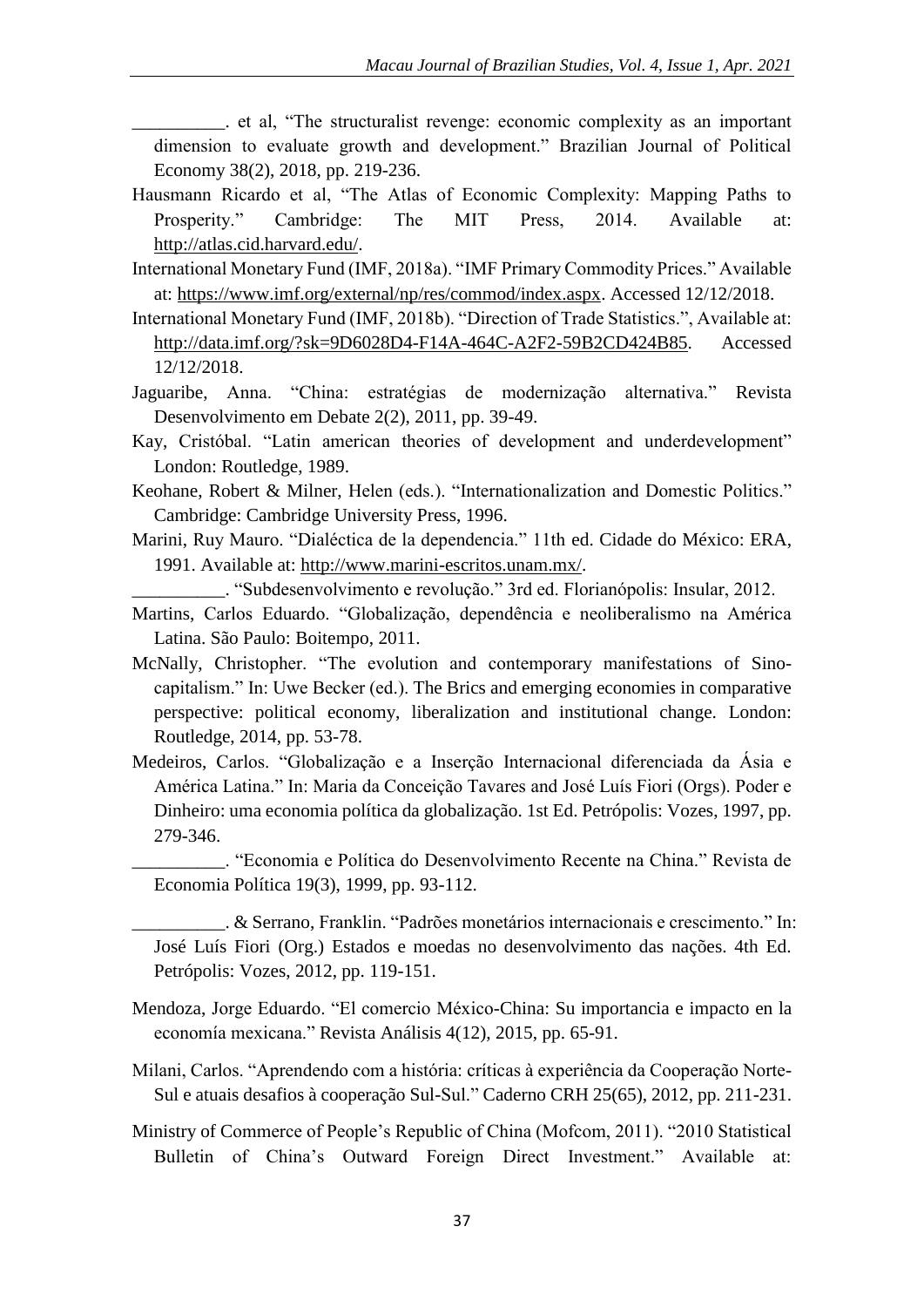\_\_\_\_\_\_\_\_\_\_. et al, "The structuralist revenge: economic complexity as an important dimension to evaluate growth and development." Brazilian Journal of Political Economy 38(2), 2018, pp. 219-236.

- Hausmann Ricardo et al, "The Atlas of Economic Complexity: Mapping Paths to Prosperity." Cambridge: The MIT Press, 2014. Available at: http://atlas.cid.harvard.edu/.
- International Monetary Fund (IMF, 2018a). "IMF Primary Commodity Prices." Available at: https://www.imf.org/external/np/res/commod/index.aspx. Accessed 12/12/2018.
- International Monetary Fund (IMF, 2018b). "Direction of Trade Statistics.", Available at: http://data.imf.org/?sk=9D6028D4-F14A-464C-A2F2-59B2CD424B85. Accessed 12/12/2018.
- Jaguaribe, Anna. "China: estratégias de modernização alternativa." Revista Desenvolvimento em Debate 2(2), 2011, pp. 39-49.
- Kay, Cristóbal. "Latin american theories of development and underdevelopment" London: Routledge, 1989.
- Keohane, Robert & Milner, Helen (eds.). "Internationalization and Domestic Politics." Cambridge: Cambridge University Press, 1996.
- Marini, Ruy Mauro. "Dialéctica de la dependencia." 11th ed. Cidade do México: ERA, 1991. Available at: http://www.marini-escritos.unam.mx/.

\_\_\_\_\_\_\_\_\_\_. "Subdesenvolvimento e revolução." 3rd ed. Florianópolis: Insular, 2012.

- Martins, Carlos Eduardo. "Globalização, dependência e neoliberalismo na América Latina. São Paulo: Boitempo, 2011.
- McNally, Christopher. "The evolution and contemporary manifestations of Sinocapitalism." In: Uwe Becker (ed.). The Brics and emerging economies in comparative perspective: political economy, liberalization and institutional change. London: Routledge, 2014, pp. 53-78.
- Medeiros, Carlos. "Globalização e a Inserção Internacional diferenciada da Ásia e América Latina." In: Maria da Conceição Tavares and José Luís Fiori (Orgs). Poder e Dinheiro: uma economia política da globalização. 1st Ed. Petrópolis: Vozes, 1997, pp. 279-346.

\_\_\_\_\_\_\_\_\_\_. "Economia e Política do Desenvolvimento Recente na China." Revista de Economia Política 19(3), 1999, pp. 93-112.

\_\_\_\_\_\_\_\_\_\_. & Serrano, Franklin. "Padrões monetários internacionais e crescimento." In: José Luís Fiori (Org.) Estados e moedas no desenvolvimento das nações. 4th Ed. Petrópolis: Vozes, 2012, pp. 119-151.

- Mendoza, Jorge Eduardo. "El comercio México-China: Su importancia e impacto en la economía mexicana." Revista Análisis 4(12), 2015, pp. 65-91.
- Milani, Carlos. "Aprendendo com a história: críticas à experiência da Cooperação Norte-Sul e atuais desafios à cooperação Sul-Sul." Caderno CRH 25(65), 2012, pp. 211-231.
- Ministry of Commerce of People's Republic of China (Mofcom, 2011). "2010 Statistical Bulletin of China's Outward Foreign Direct Investment." Available at: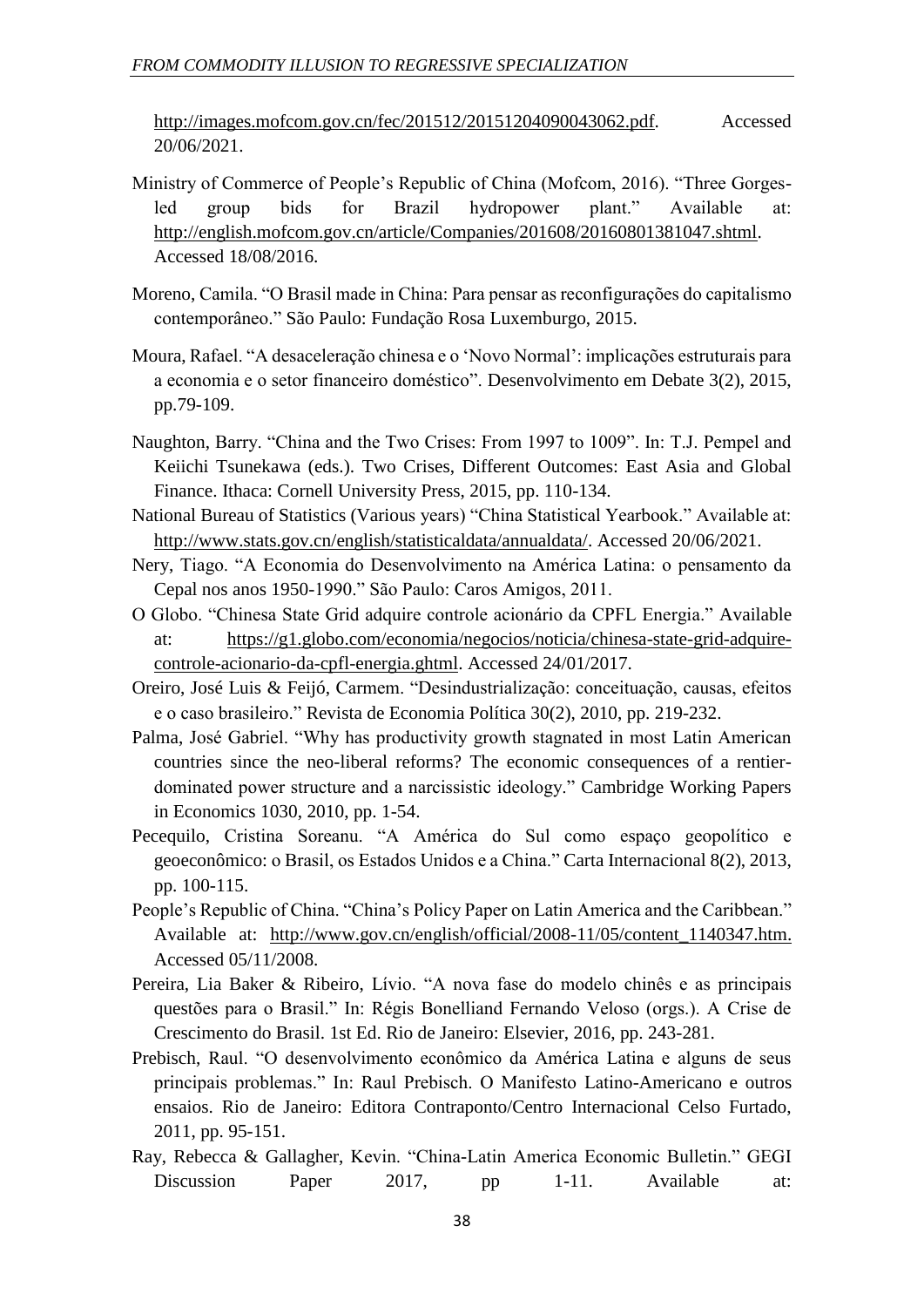http://images.mofcom.gov.cn/fec/201512/20151204090043062.pdf. Accessed 20/06/2021.

- Ministry of Commerce of People's Republic of China (Mofcom, 2016). "Three Gorgesled group bids for Brazil hydropower plant." Available at: http://english.mofcom.gov.cn/article/Companies/201608/20160801381047.shtml. Accessed 18/08/2016.
- Moreno, Camila. "O Brasil made in China: Para pensar as reconfigurações do capitalismo contemporâneo." São Paulo: Fundação Rosa Luxemburgo, 2015.
- Moura, Rafael. "A desaceleração chinesa e o 'Novo Normal': implicações estruturais para a economia e o setor financeiro doméstico". Desenvolvimento em Debate 3(2), 2015, pp.79-109.
- Naughton, Barry. "China and the Two Crises: From 1997 to 1009". In: T.J. Pempel and Keiichi Tsunekawa (eds.). Two Crises, Different Outcomes: East Asia and Global Finance. Ithaca: Cornell University Press, 2015, pp. 110-134.
- National Bureau of Statistics (Various years) "China Statistical Yearbook." Available at: http://www.stats.gov.cn/english/statisticaldata/annualdata/. Accessed 20/06/2021.
- Nery, Tiago. "A Economia do Desenvolvimento na América Latina: o pensamento da Cepal nos anos 1950-1990." São Paulo: Caros Amigos, 2011.
- O Globo. "Chinesa State Grid adquire controle acionário da CPFL Energia." Available at: https://g1.globo.com/economia/negocios/noticia/chinesa-state-grid-adquirecontrole-acionario-da-cpfl-energia.ghtml. Accessed 24/01/2017.
- Oreiro, José Luis & Feijó, Carmem. "Desindustrialização: conceituação, causas, efeitos e o caso brasileiro." Revista de Economia Política 30(2), 2010, pp. 219-232.
- Palma, José Gabriel. "Why has productivity growth stagnated in most Latin American countries since the neo-liberal reforms? The economic consequences of a rentierdominated power structure and a narcissistic ideology." Cambridge Working Papers in Economics 1030, 2010, pp. 1-54.
- Pecequilo, Cristina Soreanu. "A América do Sul como espaço geopolítico e geoeconômico: o Brasil, os Estados Unidos e a China." Carta Internacional 8(2), 2013, pp. 100-115.
- People's Republic of China. "China's Policy Paper on Latin America and the Caribbean." Available at: http://www.gov.cn/english/official/2008-11/05/content\_1140347.htm. Accessed 05/11/2008.
- Pereira, Lia Baker & Ribeiro, Lívio. "A nova fase do modelo chinês e as principais questões para o Brasil." In: Régis Bonelliand Fernando Veloso (orgs.). A Crise de Crescimento do Brasil. 1st Ed. Rio de Janeiro: Elsevier, 2016, pp. 243-281.
- Prebisch, Raul. "O desenvolvimento econômico da América Latina e alguns de seus principais problemas." In: Raul Prebisch. O Manifesto Latino-Americano e outros ensaios. Rio de Janeiro: Editora Contraponto/Centro Internacional Celso Furtado, 2011, pp. 95-151.
- Ray, Rebecca & Gallagher, Kevin. "China-Latin America Economic Bulletin." GEGI Discussion Paper 2017, pp 1-11. Available at: